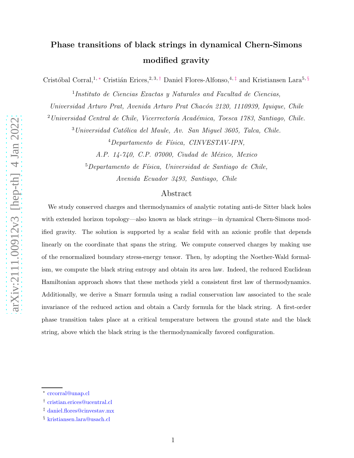# Phase transitions of black strings in dynamical Chern-Simons modified gravity

Cristóbal Corral,<sup>1,\*</sup> Cristián Erices,<sup>2, 3,[†](#page-0-1)</sup> Daniel Flores-Alfonso,<sup>4,[‡](#page-0-2)</sup> and Kristiansen Lara<sup>5, [§](#page-0-3)</sup>

<sup>1</sup>Instituto de Ciencias Exactas y Naturales and Facultad de Ciencias,

Universidad Arturo Prat, Avenida Arturo Prat Chacón 2120, 1110939, Iquique, Chile

 $2$ Universidad Central de Chile, Vicerrectoría Académica, Toesca 1783, Santiago, Chile.

 $3$ Universidad Católica del Maule, Av. San Miguel 3605, Talca, Chile.

 $^{4}$ Departamento de Física, CINVESTAV-IPN,

A.P. 14-740, C.P. 07000, Ciudad de México, Mexico

 $5$ Departamento de Física, Universidad de Santiago de Chile,

Avenida Ecuador 3493, Santiago, Chile

## Abstract

We study conserved charges and thermodynamics of analytic rotating anti-de Sitter black holes with extended horizon topology—also known as black strings—in dynamical Chern-Simons modified gravity. The solution is supported by a scalar field with an axionic profile that depends linearly on the coordinate that spans the string. We compute conserved charges by making use of the renormalized boundary stress-energy tensor. Then, by adopting the Noether-Wald formalism, we compute the black string entropy and obtain its area law. Indeed, the reduced Euclidean Hamiltonian approach shows that these methods yield a consistent first law of thermodynamics. Additionally, we derive a Smarr formula using a radial conservation law associated to the scale invariance of the reduced action and obtain a Cardy formula for the black string. A first-order phase transition takes place at a critical temperature between the ground state and the black string, above which the black string is the thermodynamically favored configuration.

<span id="page-0-1"></span><span id="page-0-0"></span><sup>∗</sup> [crcorral@unap.cl](mailto:crcorral@unap.cl)

<span id="page-0-2"></span><sup>†</sup> [cristian.erices@ucentral.cl](mailto:cristian.erices@ucentral.cl)

<span id="page-0-3"></span><sup>‡</sup> [daniel.flores@cinvestav.mx](mailto:daniel.flores@cinvestav.mx)

<sup>§</sup> [kristiansen.lara@usach.cl](mailto:kristiansen.lara@usach.cl)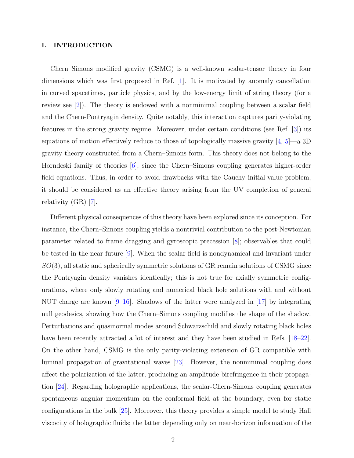#### I. INTRODUCTION

Chern–Simons modified gravity (CSMG) is a well-known scalar-tensor theory in four dimensions which was first proposed in Ref. [\[1\]](#page-23-0). It is motivated by anomaly cancellation in curved spacetimes, particle physics, and by the low-energy limit of string theory (for a review see [\[2\]](#page-23-1)). The theory is endowed with a nonminimal coupling between a scalar field and the Chern-Pontryagin density. Quite notably, this interaction captures parity-violating features in the strong gravity regime. Moreover, under certain conditions (see Ref. [\[3\]](#page-23-2)) its equations of motion effectively reduce to those of topologically massive gravity  $[4, 5]$  $[4, 5]$ —a 3D gravity theory constructed from a Chern–Simons form. This theory does not belong to the Horndeski family of theories [\[6\]](#page-23-5), since the Chern–Simons coupling generates higher-order field equations. Thus, in order to avoid drawbacks with the Cauchy initial-value problem, it should be considered as an effective theory arising from the UV completion of general relativity (GR) [\[7](#page-23-6)].

Different physical consequences of this theory have been explored since its conception. For instance, the Chern–Simons coupling yields a nontrivial contribution to the post-Newtonian parameter related to frame dragging and gyroscopic precession [\[8](#page-23-7)]; observables that could be tested in the near future [\[9\]](#page-23-8). When the scalar field is nondynamical and invariant under  $SO(3)$ , all static and spherically symmetric solutions of GR remain solutions of CSMG since the Pontryagin density vanishes identically; this is not true for axially symmetric configurations, where only slowly rotating and numerical black hole solutions with and without NUT charge are known  $[9-16]$ . Shadows of the latter were analyzed in [\[17](#page-24-1)] by integrating null geodesics, showing how the Chern–Simons coupling modifies the shape of the shadow. Perturbations and quasinormal modes around Schwarzschild and slowly rotating black holes have been recently attracted a lot of interest and they have been studied in Refs. [\[18](#page-24-2)[–22\]](#page-24-3). On the other hand, CSMG is the only parity-violating extension of GR compatible with luminal propagation of gravitational waves [\[23\]](#page-24-4). However, the nonminimal coupling does affect the polarization of the latter, producing an amplitude birefringence in their propagation [\[24](#page-24-5)]. Regarding holographic applications, the scalar-Chern-Simons coupling generates spontaneous angular momentum on the conformal field at the boundary, even for static configurations in the bulk [\[25](#page-24-6)]. Moreover, this theory provides a simple model to study Hall viscocity of holographic fluids; the latter depending only on near-horizon information of the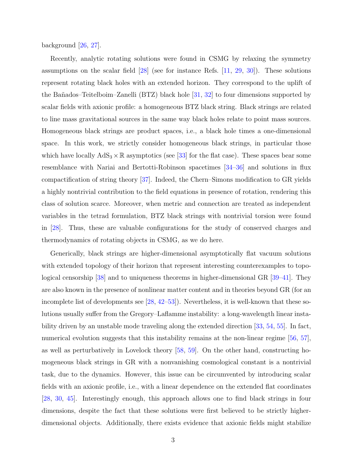background [\[26](#page-24-7), [27\]](#page-24-8).

Recently, analytic rotating solutions were found in CSMG by relaxing the symmetry assumptions on the scalar field [\[28](#page-24-9)] (see for instance Refs. [\[11](#page-23-9), [29](#page-24-10), [30](#page-24-11)]). These solutions represent rotating black holes with an extended horizon. They correspond to the uplift of the Ba˜nados–Teitelboim–Zanelli (BTZ) black hole [\[31,](#page-24-12) [32\]](#page-24-13) to four dimensions supported by scalar fields with axionic profile: a homogeneous BTZ black string. Black strings are related to line mass gravitational sources in the same way black holes relate to point mass sources. Homogeneous black strings are product spaces, i.e., a black hole times a one-dimensional space. In this work, we strictly consider homogeneous black strings, in particular those which have locally  $AdS_3 \times \mathbb{R}$  asymptotics (see [\[33\]](#page-24-14) for the flat case). These spaces bear some resemblance with Nariai and Bertotti-Robinson spacetimes [\[34](#page-24-15)[–36\]](#page-24-16) and solutions in flux compactification of string theory [\[37\]](#page-24-17). Indeed, the Chern–Simons modification to GR yields a highly nontrivial contribution to the field equations in presence of rotation, rendering this class of solution scarce. Moreover, when metric and connection are treated as independent variables in the tetrad formulation, BTZ black strings with nontrivial torsion were found in [\[28](#page-24-9)]. Thus, these are valuable configurations for the study of conserved charges and thermodynamics of rotating objects in CSMG, as we do here.

Generically, black strings are higher-dimensional asymptotically flat vacuum solutions with extended topology of their horizon that represent interesting counterexamples to topological censorship [\[38\]](#page-24-18) and to uniqueness theorems in higher-dimensional GR [\[39](#page-24-19)[–41](#page-24-20)]. They are also known in the presence of nonlinear matter content and in theories beyond GR (for an incomplete list of developments see [\[28,](#page-24-9) [42](#page-24-21)[–53](#page-25-0)]). Nevertheless, it is well-known that these solutions usually suffer from the Gregory–Laflamme instability: a long-wavelength linear instability driven by an unstable mode traveling along the extended direction [\[33](#page-24-14), [54](#page-25-1), [55\]](#page-25-2). In fact, numerical evolution suggests that this instability remains at the non-linear regime [\[56,](#page-25-3) [57\]](#page-25-4), as well as perturbatively in Lovelock theory [\[58,](#page-25-5) [59](#page-25-6)]. On the other hand, constructing homogeneous black strings in GR with a nonvanishing cosmological constant is a nontrivial task, due to the dynamics. However, this issue can be circumvented by introducing scalar fields with an axionic profile, i.e., with a linear dependence on the extended flat coordinates [\[28](#page-24-9), [30](#page-24-11), [45](#page-25-7)]. Interestingly enough, this approach allows one to find black strings in four dimensions, despite the fact that these solutions were first believed to be strictly higherdimensional objects. Additionally, there exists evidence that axionic fields might stabilize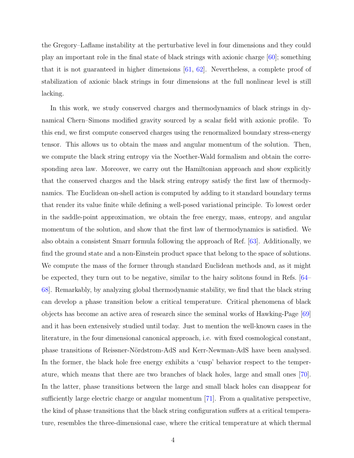the Gregory–Laflame instability at the perturbative level in four dimensions and they could play an important role in the final state of black strings with axionic charge [\[60\]](#page-25-8); something that it is not guaranteed in higher dimensions [\[61,](#page-25-9) [62](#page-25-10)]. Nevertheless, a complete proof of stabilization of axionic black strings in four dimensions at the full nonlinear level is still lacking.

In this work, we study conserved charges and thermodynamics of black strings in dynamical Chern–Simons modified gravity sourced by a scalar field with axionic profile. To this end, we first compute conserved charges using the renormalized boundary stress-energy tensor. This allows us to obtain the mass and angular momentum of the solution. Then, we compute the black string entropy via the Noether-Wald formalism and obtain the corresponding area law. Moreover, we carry out the Hamiltonian approach and show explicitly that the conserved charges and the black string entropy satisfy the first law of thermodynamics. The Euclidean on-shell action is computed by adding to it standard boundary terms that render its value finite while defining a well-posed variational principle. To lowest order in the saddle-point approximation, we obtain the free energy, mass, entropy, and angular momentum of the solution, and show that the first law of thermodynamics is satisfied. We also obtain a consistent Smarr formula following the approach of Ref. [\[63\]](#page-25-11). Additionally, we find the ground state and a non-Einstein product space that belong to the space of solutions. We compute the mass of the former through standard Euclidean methods and, as it might be expected, they turn out to be negative, similar to the hairy solitons found in Refs. [\[64](#page-25-12)– [68\]](#page-25-13). Remarkably, by analyzing global thermodynamic stability, we find that the black string can develop a phase transition below a critical temperature. Critical phenomena of black objects has become an active area of research since the seminal works of Hawking-Page [\[69\]](#page-25-14) and it has been extensively studied until today. Just to mention the well-known cases in the literature, in the four dimensional canonical approach, i.e. with fixed cosmological constant, phase transitions of Reissner-N¨ordstrom-AdS and Kerr-Newman-AdS have been analysed. In the former, the black hole free energy exhibits a 'cusp' behavior respect to the temperature, which means that there are two branches of black holes, large and small ones [\[70\]](#page-26-0). In the latter, phase transitions between the large and small black holes can disappear for sufficiently large electric charge or angular momentum [\[71\]](#page-26-1). From a qualitative perspective, the kind of phase transitions that the black string configuration suffers at a critical temperature, resembles the three-dimensional case, where the critical temperature at which thermal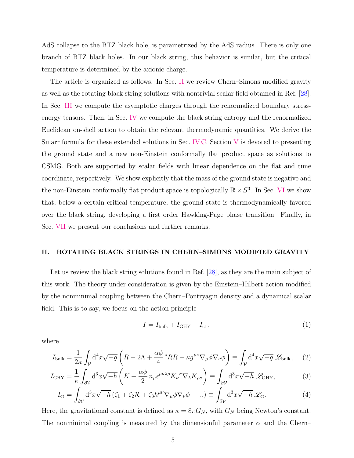AdS collapse to the BTZ black hole, is parametrized by the AdS radius. There is only one branch of BTZ black holes. In our black string, this behavior is similar, but the critical temperature is determined by the axionic charge.

The article is organized as follows. In Sec. [II](#page-4-0) we review Chern–Simons modified gravity as well as the rotating black string solutions with nontrivial scalar field obtained in Ref. [\[28\]](#page-24-9). In Sec. [III](#page-8-0) we compute the asymptotic charges through the renormalized boundary stressenergy tensors. Then, in Sec. [IV](#page-10-0) we compute the black string entropy and the renormalized Euclidean on-shell action to obtain the relevant thermodynamic quantities. We derive the Smarr formula for these extended solutions in Sec. [IV C.](#page-15-0) Section [V](#page-16-0) is devoted to presenting the ground state and a new non-Einstein conformally flat product space as solutions to CSMG. Both are supported by scalar fields with linear dependence on the flat and time coordinate, respectively. We show explicitly that the mass of the ground state is negative and the non-Einstein conformally flat product space is topologically  $\mathbb{R} \times S^3$ . In Sec. [VI](#page-19-0) we show that, below a certain critical temperature, the ground state is thermodynamically favored over the black string, developing a first order Hawking-Page phase transition. Finally, in Sec. [VII](#page-21-0) we present our conclusions and further remarks.

#### <span id="page-4-0"></span>II. ROTATING BLACK STRINGS IN CHERN–SIMONS MODIFIED GRAVITY

Let us review the black string solutions found in Ref. [\[28](#page-24-9)], as they are the main subject of this work. The theory under consideration is given by the Einstein–Hilbert action modified by the nonminimal coupling between the Chern–Pontryagin density and a dynamical scalar field. This is to say, we focus on the action principle

<span id="page-4-1"></span>
$$
I = I_{\text{bulk}} + I_{\text{GHY}} + I_{\text{ct}} , \qquad (1)
$$

where

$$
I_{\text{bulk}} = \frac{1}{2\kappa} \int_{\mathcal{V}} d^4 x \sqrt{-g} \left( R - 2\Lambda + \frac{\alpha \phi}{4} {}^* R R - \kappa g^{\mu\nu} \nabla_{\mu} \phi \nabla_{\nu} \phi \right) \equiv \int_{\mathcal{V}} d^4 x \sqrt{-g} \mathcal{L}_{\text{bulk}} \,, \quad (2)
$$

$$
I_{\text{GHY}} = \frac{1}{\kappa} \int_{\partial \mathcal{V}} \mathrm{d}^3 x \sqrt{-h} \left( K + \frac{\alpha \phi}{2} n_{\mu} \epsilon^{\mu \nu \lambda \rho} K_{\nu}{}^{\sigma} \nabla_{\lambda} K_{\rho \sigma} \right) \equiv \int_{\partial \mathcal{V}} \mathrm{d}^3 x \sqrt{-h} \ \mathcal{L}_{\text{GHY}},\tag{3}
$$

$$
I_{\rm ct} = \int_{\partial \mathcal{V}} d^3 x \sqrt{-h} \left( \zeta_1 + \zeta_2 \mathcal{R} + \zeta_3 h^{\mu \nu} \nabla_{\mu} \phi \nabla_{\nu} \phi + \ldots \right) \equiv \int_{\partial \mathcal{V}} d^3 x \sqrt{-h} \mathcal{L}_{\rm ct}.
$$
 (4)

Here, the gravitational constant is defined as  $\kappa = 8\pi G_N$ , with  $G_N$  being Newton's constant. The nonminimal coupling is measured by the dimensionful parameter  $\alpha$  and the Chern–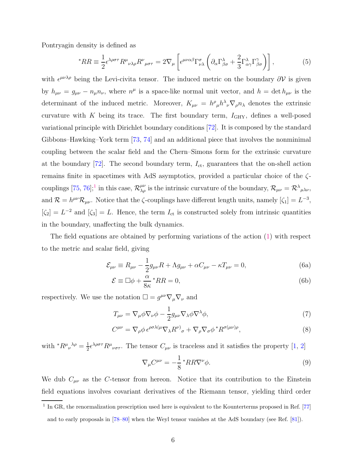Pontryagin density is defined as

$$
{}^*RR \equiv \frac{1}{2} \epsilon^{\lambda \rho \sigma \tau} R^{\mu}{}_{\nu \lambda \rho} R^{\nu}{}_{\mu \sigma \tau} = 2 \nabla_{\mu} \left[ \epsilon^{\mu \nu \alpha \beta} \Gamma^{\sigma}{}_{\nu \lambda} \left( \partial_{\alpha} \Gamma^{\lambda}_{\beta \sigma} + \frac{2}{3} \Gamma^{\lambda}{}_{\alpha \gamma} \Gamma^{\gamma}{}_{\beta \sigma} \right) \right], \tag{5}
$$

with  $\epsilon^{\mu\nu\lambda\rho}$  being the Levi-civita tensor. The induced metric on the boundary  $\partial V$  is given by  $h_{\mu\nu} = g_{\mu\nu} - n_{\mu}n_{\nu}$ , where  $n^{\mu}$  is a space-like normal unit vector, and  $h = \det h_{\mu\nu}$  is the determinant of the induced metric. Moreover,  $K_{\mu\nu} = h^{\rho}{}_{\mu}h^{\lambda}{}_{\nu}\nabla_{\rho}n_{\lambda}$  denotes the extrinsic curvature with K being its trace. The first boundary term,  $I_{GHY}$ , defines a well-posed variational principle with Dirichlet boundary conditions [\[72\]](#page-26-2). It is composed by the standard Gibbons–Hawking–York term [\[73,](#page-26-3) [74](#page-26-4)] and an additional piece that involves the nonminimal coupling between the scalar field and the Chern–Simons form for the extrinsic curvature at the boundary  $[72]$ . The second boundary term,  $I_{\text{ct}}$ , guarantees that the on-shell action remains finite in spacetimes with AdS asymptotics, provided a particular choice of the  $\zeta$ couplings  $[75, 76];$  $[75, 76];$  $[75, 76];$ <sup>[1](#page-5-0)</sup> in this case,  $\mathcal{R}_{\lambda\rho}^{\mu\nu}$  is the intrinsic curvature of the boundary,  $\mathcal{R}_{\mu\nu} = \mathcal{R}^{\lambda}{}_{\mu\lambda\nu}$ , and  $\mathcal{R} = h^{\mu\nu} \mathcal{R}_{\mu\nu}$ . Notice that the  $\zeta$ -couplings have different length units, namely  $[\zeta_1] = L^{-3}$ ,  $[\zeta_2] = L^{-2}$  and  $[\zeta_3] = L$ . Hence, the term  $I_{\text{ct}}$  is constructed solely from intrinsic quantities in the boundary, unaffecting the bulk dynamics.

The field equations are obtained by performing variations of the action [\(1\)](#page-5-1) with respect to the metric and scalar field, giving

<span id="page-5-2"></span>
$$
\mathcal{E}_{\mu\nu} \equiv R_{\mu\nu} - \frac{1}{2}g_{\mu\nu}R + \Lambda g_{\mu\nu} + \alpha C_{\mu\nu} - \kappa T_{\mu\nu} = 0, \tag{6a}
$$

$$
\mathcal{E} \equiv \Box \phi + \frac{\alpha}{8\kappa} {}^*RR = 0,\tag{6b}
$$

respectively. We use the notation  $\square = g^{\mu\nu}\nabla_{\mu}\nabla_{\nu}$  and

$$
T_{\mu\nu} = \nabla_{\mu}\phi\nabla_{\nu}\phi - \frac{1}{2}g_{\mu\nu}\nabla_{\lambda}\phi\nabla^{\lambda}\phi,
$$
\n(7)

$$
C^{\mu\nu} = \nabla_{\rho}\phi \,\epsilon^{\rho\sigma\lambda(\mu}\nabla_{\lambda}R^{\nu)}_{\sigma} + \nabla_{\rho}\nabla_{\sigma}\phi \,^*R^{\sigma(\mu\nu)\rho},\tag{8}
$$

with  ${}^*R^{\mu}{}_{\nu}{}^{\lambda\rho} = \frac{1}{2}$  $\frac{1}{2} \epsilon^{\lambda \rho \sigma \tau} R^{\mu}{}_{\nu \sigma \tau}$ . The tensor  $C_{\mu \nu}$  is traceless and it satisfies the property [\[1,](#page-23-0) [2\]](#page-23-1)

<span id="page-5-1"></span>
$$
\nabla_{\mu} C^{\mu\nu} = -\frac{1}{8} * RR \nabla^{\nu} \phi.
$$
\n(9)

We dub  $C_{\mu\nu}$  as the C-tensor from hereon. Notice that its contribution to the Einstein field equations involves covariant derivatives of the Riemann tensor, yielding third order

<span id="page-5-0"></span> $1$  In GR, the renormalization prescription used here is equivalent to the Kounterterms proposed in Ref. [\[77\]](#page-26-7) and to early proposals in [\[78](#page-26-8)[–80\]](#page-26-9) when the Weyl tensor vanishes at the AdS boundary (see Ref. [\[81\]](#page-26-10)).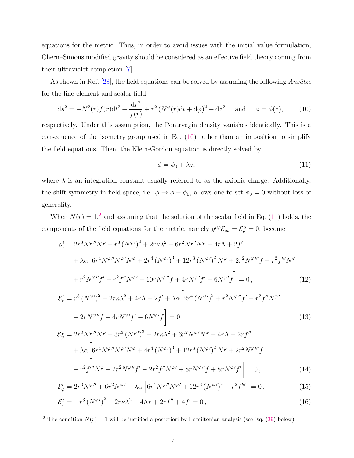equations for the metric. Thus, in order to avoid issues with the initial value formulation, Chern–Simons modified gravity should be considered as an effective field theory coming from their ultraviolet completion [\[7](#page-23-6)].

As shown in Ref. [\[28\]](#page-24-9), the field equations can be solved by assuming the following Ansätze for the line element and scalar field

$$
ds^{2} = -N^{2}(r)f(r)dt^{2} + \frac{dr^{2}}{f(r)} + r^{2}(N^{\varphi}(r)dt + d\varphi)^{2} + dz^{2} \text{ and } \phi = \phi(z), \qquad (10)
$$

respectively. Under this assumption, the Pontryagin density vanishes identically. This is a consequence of the isometry group used in Eq. [\(10\)](#page-6-0) rather than an imposition to simplify the field equations. Then, the Klein-Gordon equation is directly solved by

<span id="page-6-2"></span><span id="page-6-0"></span>
$$
\phi = \phi_0 + \lambda z,\tag{11}
$$

where  $\lambda$  is an integration constant usually referred to as the axionic charge. Additionally, the shift symmetry in field space, i.e.  $\phi \to \phi - \phi_0$ , allows one to set  $\phi_0 = 0$  without loss of generality.

When  $N(r) = 1<sup>2</sup>$  $N(r) = 1<sup>2</sup>$  $N(r) = 1<sup>2</sup>$  and assuming that the solution of the scalar field in Eq. [\(11\)](#page-6-2) holds, the components of the field equations for the metric, namely  $g^{\mu\rho} \mathcal{E}_{\rho\nu} = \mathcal{E}_{\nu}^{\mu} = 0$ , become

$$
\mathcal{E}_{t}^{t} = 2r^{3}N^{\varphi}{}''N^{\varphi} + r^{3}(N^{\varphi})^{2} + 2r\kappa\lambda^{2} + 6r^{2}N^{\varphi}{}'N^{\varphi} + 4r\Lambda + 2f'
$$
  
+  $\lambda\alpha \left[6r^{4}N^{\varphi}{}''N^{\varphi}{}'N^{\varphi} + 2r^{4}(N^{\varphi})^{3} + 12r^{3}(N^{\varphi})^{2}N^{\varphi} + 2r^{2}N^{\varphi}{}''{}'f - r^{2}f{}''{}'N^{\varphi} \right]$   
+  $r^{2}N^{\varphi}{}''f' - r^{2}f{}''N^{\varphi}{}' + 10rN^{\varphi}{}''f + 4rN^{\varphi}{}'f' + 6N^{\varphi}{}'f \right] = 0,$  (12)  

$$
\mathcal{E}_{r}^{r} = r^{3}(N^{\varphi})^{2} + 2r\kappa\lambda^{2} + 4r\Lambda + 2f' + \lambda\alpha \left[2r^{4}(N^{\varphi})^{3} + r^{2}N^{\varphi}{}''f' - r^{2}f{}''N^{\varphi}{}'
$$

$$
-2rN^{\varphi\prime\prime}f + 4rN^{\varphi\prime}f' - 6N^{\varphi\prime}f\bigg] = 0,
$$
\n(13)

$$
\mathcal{E}_{\varphi}^{\varphi} = 2r^{3}N^{\varphi}{}''N^{\varphi} + 3r^{3}(N^{\varphi})^{2} - 2r\kappa\lambda^{2} + 6r^{2}N^{\varphi}{}'N^{\varphi} - 4r\Lambda - 2rf'' + \lambda\alpha \left[6r^{4}N^{\varphi}{}''N^{\varphi}{}'N^{\varphi} + 4r^{4}(N^{\varphi})^{3} + 12r^{3}(N^{\varphi})^{2}N^{\varphi} + 2r^{2}N^{\varphi}{}''{}'f - r^{2}f{}''{}'N^{\varphi} + 2r^{2}N^{\varphi}{}''f' - 2r^{2}f{}''N^{\varphi}{}' + 8rN^{\varphi}{}''f + 8rN^{\varphi}{}'f'\right] = 0, \qquad (14)
$$

$$
\mathcal{E}_{\varphi}^{t} = 2r^{3}N^{\varphi\prime\prime} + 6r^{2}N^{\varphi\prime} + \lambda\alpha \left[6r^{4}N^{\varphi\prime\prime}N^{\varphi\prime} + 12r^{3}\left(N^{\varphi\prime}\right)^{2} - r^{2}f^{\prime\prime\prime}\right] = 0, \qquad (15)
$$

$$
\mathcal{E}_z^z = -r^3 \left( N^{\varphi'} \right)^2 - 2r\kappa \lambda^2 + 4\Lambda r + 2rf'' + 4f' = 0 \,, \tag{16}
$$

<span id="page-6-1"></span><sup>2</sup> The condition  $N(r) = 1$  will be justified a posteriori by Hamiltonian analysis (see Eq. [\(39\)](#page-13-0) below).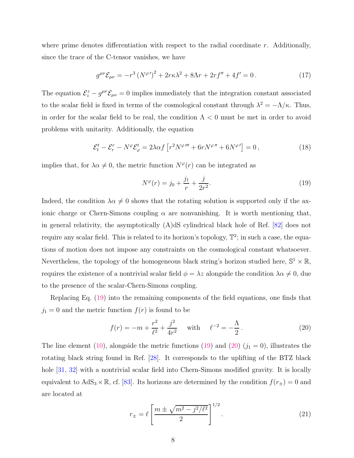where prime denotes differentiation with respect to the radial coordinate  $r$ . Additionally, since the trace of the C-tensor vanishes, we have

$$
g^{\mu\nu}\mathcal{E}_{\mu\nu} = -r^3 \left(N^{\varphi}\right)^2 + 2r\kappa\lambda^2 + 8\Lambda r + 2rf'' + 4f' = 0. \tag{17}
$$

The equation  $\mathcal{E}_{z}^{z} - g^{\mu\nu}\mathcal{E}_{\mu\nu} = 0$  implies immediately that the integration constant associated to the scalar field is fixed in terms of the cosmological constant through  $\lambda^2 = -\Lambda/\kappa$ . Thus, in order for the scalar field to be real, the condition  $\Lambda < 0$  must be met in order to avoid problems with unitarity. Additionally, the equation

$$
\mathcal{E}_t^t - \mathcal{E}_r^r - N^\varphi \mathcal{E}_\varphi^t = 2\lambda \alpha f \left[ r^2 N^{\varphi \prime \prime \prime} + 6r N^{\varphi \prime \prime} + 6N^{\varphi \prime} \right] = 0, \qquad (18)
$$

implies that, for  $\lambda \alpha \neq 0$ , the metric function  $N^{\varphi}(r)$  can be integrated as

<span id="page-7-0"></span>
$$
N^{\varphi}(r) = j_0 + \frac{j_1}{r} + \frac{j}{2r^2}.
$$
\n(19)

Indeed, the condition  $\lambda \alpha \neq 0$  shows that the rotating solution is supported only if the axionic charge or Chern-Simons coupling  $\alpha$  are nonvanishing. It is worth mentioning that, in general relativity, the asymptotically (A)dS cylindrical black hole of Ref. [\[82](#page-26-11)] does not require any scalar field. This is related to its horizon's topology,  $\mathbb{T}^2$ ; in such a case, the equations of motion does not impose any constraints on the cosmological constant whatsoever. Nevertheless, the topology of the homogeneous black string's horizon studied here,  $\mathbb{S}^1 \times \mathbb{R}$ , requires the existence of a nontrivial scalar field  $\phi = \lambda z$  alongside the condition  $\lambda \alpha \neq 0$ , due to the presence of the scalar-Chern-Simons coupling.

Replacing Eq. [\(19\)](#page-7-0) into the remaining components of the field equations, one finds that  $j_1 = 0$  and the metric function  $f(r)$  is found to be

<span id="page-7-1"></span>
$$
f(r) = -m + \frac{r^2}{\ell^2} + \frac{j^2}{4r^2} \quad \text{with} \quad \ell^{-2} = -\frac{\Lambda}{2}.
$$
 (20)

The line element [\(10\)](#page-6-0), alongside the metric functions [\(19\)](#page-7-0) and [\(20\)](#page-7-1)  $(j_1 = 0)$ , illustrates the rotating black string found in Ref. [\[28](#page-24-9)]. It corresponds to the uplifting of the BTZ black hole [\[31,](#page-24-12) [32](#page-24-13)] with a nontrivial scalar field into Chern-Simons modified gravity. It is locally equivalent to  $AdS_3 \times \mathbb{R}$ , cf. [\[83\]](#page-26-12). Its horizons are determined by the condition  $f(r_{\pm}) = 0$  and are located at

$$
r_{\pm} = \ell \left[ \frac{m \pm \sqrt{m^2 - j^2/\ell^2}}{2} \right]^{1/2}.
$$
 (21)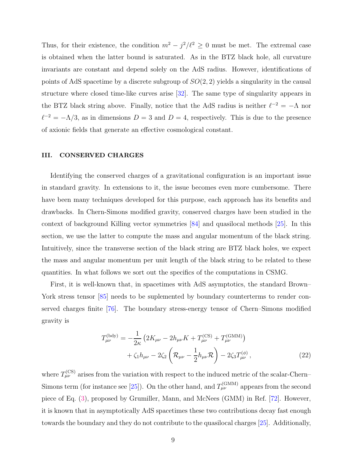Thus, for their existence, the condition  $m^2 - j^2/\ell^2 \geq 0$  must be met. The extremal case is obtained when the latter bound is saturated. As in the BTZ black hole, all curvature invariants are constant and depend solely on the AdS radius. However, identifications of points of AdS spacetime by a discrete subgroup of  $SO(2, 2)$  yields a singularity in the causal structure where closed time-like curves arise [\[32](#page-24-13)]. The same type of singularity appears in the BTZ black string above. Finally, notice that the AdS radius is neither  $\ell^{-2} = -\Lambda$  nor  $\ell^{-2} = -\Lambda/3$ , as in dimensions  $D = 3$  and  $D = 4$ , respectively. This is due to the presence of axionic fields that generate an effective cosmological constant.

#### <span id="page-8-0"></span>III. CONSERVED CHARGES

Identifying the conserved charges of a gravitational configuration is an important issue in standard gravity. In extensions to it, the issue becomes even more cumbersome. There have been many techniques developed for this purpose, each approach has its benefits and drawbacks. In Chern-Simons modified gravity, conserved charges have been studied in the context of background Killing vector symmetries [\[84\]](#page-26-13) and quasilocal methods [\[25](#page-24-6)]. In this section, we use the latter to compute the mass and angular momentum of the black string. Intuitively, since the transverse section of the black string are BTZ black holes, we expect the mass and angular momentum per unit length of the black string to be related to these quantities. In what follows we sort out the specifics of the computations in CSMG.

First, it is well-known that, in spacetimes with AdS asymptotics, the standard Brown– York stress tensor  $[85]$  needs to be suplemented by boundary counterterms to render conserved charges finite [\[76](#page-26-6)]. The boundary stress-energy tensor of Chern–Simons modified gravity is

<span id="page-8-1"></span>
$$
T_{\mu\nu}^{(\text{bdy})} = -\frac{1}{2\kappa} \left( 2K_{\mu\nu} - 2h_{\mu\nu}K + T_{\mu\nu}^{(\text{CS})} + T_{\mu\nu}^{(\text{GMM})} \right) + \zeta_1 h_{\mu\nu} - 2\zeta_2 \left( \mathcal{R}_{\mu\nu} - \frac{1}{2} h_{\mu\nu} \mathcal{R} \right) - 2\zeta_3 T_{\mu\nu}^{(\phi)},
$$
(22)

where  $T_{\mu\nu}^{(\text{CS})}$  arises from the variation with respect to the induced metric of the scalar-Chern– Simons term (for instance see [\[25\]](#page-24-6)). On the other hand, and  $T_{\mu\nu}^{(\text{GMM})}$  appears from the second piece of Eq. [\(3\)](#page-4-1), proposed by Grumiller, Mann, and McNees (GMM) in Ref. [\[72](#page-26-2)]. However, it is known that in asymptotically AdS spacetimes these two contributions decay fast enough towards the boundary and they do not contribute to the quasilocal charges [\[25\]](#page-24-6). Additionally,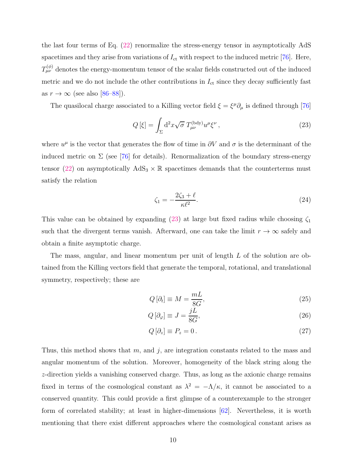the last four terms of Eq. [\(22\)](#page-8-1) renormalize the stress-energy tensor in asymptotically AdS spacetimes and they arise from variations of  $I_{\text{ct}}$  with respect to the induced metric [\[76\]](#page-26-6). Here,  $T_{\mu\nu}^{(\phi)}$  denotes the energy-momentum tensor of the scalar fields constructed out of the induced metric and we do not include the other contributions in  $I_{\text{ct}}$  since they decay sufficiently fast as  $r \to \infty$  (see also [\[86](#page-26-15)[–88\]](#page-26-16)).

The quasilocal charge associated to a Killing vector field  $\xi = \xi^{\mu} \partial_{\mu}$  is defined through [\[76\]](#page-26-6)

$$
Q\left[\xi\right] = \int_{\Sigma} \mathrm{d}^2 x \sqrt{\sigma} \, T_{\mu\nu}^{\text{(bdy)}} u^{\mu} \xi^{\nu} \,, \tag{23}
$$

where  $u^{\mu}$  is the vector that generates the flow of time in  $\partial V$  and  $\sigma$  is the determinant of the induced metric on  $\Sigma$  (see [\[76](#page-26-6)] for details). Renormalization of the boundary stress-energy tensor [\(22\)](#page-8-1) on asymptotically  $AdS_3 \times \mathbb{R}$  spacetimes demands that the counterterms must satisfy the relation

<span id="page-9-0"></span>
$$
\zeta_1 = -\frac{2\zeta_3 + \ell}{\kappa \ell^2}.\tag{24}
$$

This value can be obtained by expanding [\(23\)](#page-9-0) at large but fixed radius while choosing  $\zeta_1$ such that the divergent terms vanish. Afterward, one can take the limit  $r \to \infty$  safely and obtain a finite asymptotic charge.

The mass, angular, and linear momentum per unit of length L of the solution are obtained from the Killing vectors field that generate the temporal, rotational, and translational symmetry, respectively; these are

$$
Q\left[\partial_t\right] \equiv M = \frac{mL}{8G},\tag{25}
$$

$$
Q\left[\partial_{\varphi}\right] \equiv J = \frac{jL}{8G},\tag{26}
$$

$$
Q\left[\partial_z\right] \equiv P_z = 0\,. \tag{27}
$$

Thus, this method shows that  $m$ , and  $j$ , are integration constants related to the mass and angular momentum of the solution. Moreover, homogeneity of the black string along the z-direction yields a vanishing conserved charge. Thus, as long as the axionic charge remains fixed in terms of the cosmological constant as  $\lambda^2 = -\Lambda/\kappa$ , it cannot be associated to a conserved quantity. This could provide a first glimpse of a counterexample to the stronger form of correlated stability; at least in higher-dimensions [\[62](#page-25-10)]. Nevertheless, it is worth mentioning that there exist different approaches where the cosmological constant arises as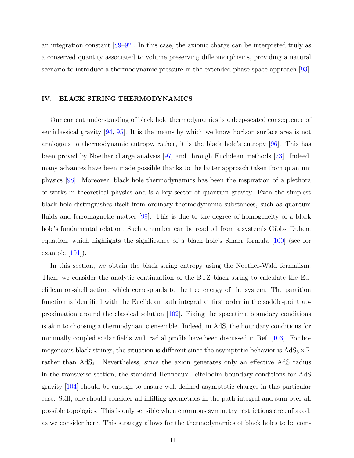an integration constant [\[89](#page-26-17)[–92\]](#page-26-18). In this case, the axionic charge can be interpreted truly as a conserved quantity associated to volume preserving diffeomorphisms, providing a natural scenario to introduce a thermodynamic pressure in the extended phase space approach [\[93\]](#page-26-19).

#### <span id="page-10-0"></span>IV. BLACK STRING THERMODYNAMICS

Our current understanding of black hole thermodynamics is a deep-seated consequence of semiclassical gravity [\[94,](#page-26-20) [95](#page-26-21)]. It is the means by which we know horizon surface area is not analogous to thermodynamic entropy, rather, it is the black hole's entropy [\[96](#page-27-0)]. This has been proved by Noether charge analysis [\[97](#page-27-1)] and through Euclidean methods [\[73](#page-26-3)]. Indeed, many advances have been made possible thanks to the latter approach taken from quantum physics [\[98\]](#page-27-2). Moreover, black hole thermodynamics has been the inspiration of a plethora of works in theoretical physics and is a key sector of quantum gravity. Even the simplest black hole distinguishes itself from ordinary thermodynamic substances, such as quantum fluids and ferromagnetic matter [\[99\]](#page-27-3). This is due to the degree of homogeneity of a black hole's fundamental relation. Such a number can be read off from a system's Gibbs–Duhem equation, which highlights the significance of a black hole's Smarr formula  $|100|$  (see for example  $|101|$ ).

In this section, we obtain the black string entropy using the Noether-Wald formalism. Then, we consider the analytic continuation of the BTZ black string to calculate the Euclidean on-shell action, which corresponds to the free energy of the system. The partition function is identified with the Euclidean path integral at first order in the saddle-point approximation around the classical solution [\[102](#page-27-6)]. Fixing the spacetime boundary conditions is akin to choosing a thermodynamic ensemble. Indeed, in AdS, the boundary conditions for minimally coupled scalar fields with radial profile have been discussed in Ref. [\[103\]](#page-27-7). For homogeneous black strings, the situation is different since the asymptotic behavior is  $AdS_3 \times \mathbb{R}$ rather than AdS<sub>4</sub>. Nevertheless, since the axion generates only an effective AdS radius in the transverse section, the standard Henneaux-Teitelboim boundary conditions for AdS gravity [\[104\]](#page-27-8) should be enough to ensure well-defined asymptotic charges in this particular case. Still, one should consider all infilling geometries in the path integral and sum over all possible topologies. This is only sensible when enormous symmetry restrictions are enforced, as we consider here. This strategy allows for the thermodynamics of black holes to be com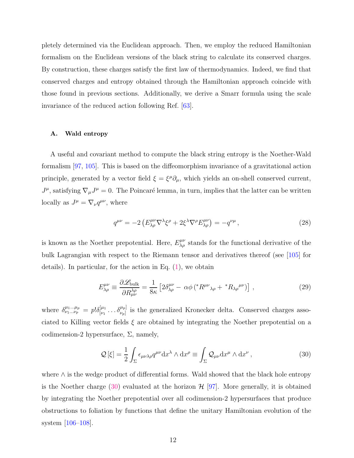pletely determined via the Euclidean approach. Then, we employ the reduced Hamiltonian formalism on the Euclidean versions of the black string to calculate its conserved charges. By construction, these charges satisfy the first law of thermodynamics. Indeed, we find that conserved charges and entropy obtained through the Hamiltonian approach coincide with those found in previous sections. Additionally, we derive a Smarr formula using the scale invariance of the reduced action following Ref. [\[63](#page-25-11)].

#### A. Wald entropy

A useful and covariant method to compute the black string entropy is the Noether-Wald formalism [\[97,](#page-27-1) [105\]](#page-27-9). This is based on the diffeomorphism invariance of a gravitational action principle, generated by a vector field  $\xi = \xi^{\mu} \partial_{\mu}$ , which yields an on-shell conserved current,  $J^{\mu}$ , satisfying  $\nabla_{\mu}J^{\mu} = 0$ . The Poincaré lemma, in turn, implies that the latter can be written locally as  $J^{\mu} = \nabla_{\nu} q^{\mu\nu}$ , where

$$
q^{\mu\nu} = -2 \left( E^{\mu\nu}_{\lambda\rho} \nabla^{\lambda} \xi^{\rho} + 2 \xi^{\lambda} \nabla^{\rho} E^{\mu\nu}_{\lambda\rho} \right) = -q^{\nu\mu} , \qquad (28)
$$

is known as the Noether prepotential. Here,  $E^{\mu\nu}_{\lambda\rho}$  stands for the functional derivative of the bulk Lagrangian with respect to the Riemann tensor and derivatives thereof (see [\[105\]](#page-27-9) for details). In particular, for the action in Eq. [\(1\)](#page-5-1), we obtain

$$
E^{\mu\nu}_{\lambda\rho} \equiv \frac{\partial \mathcal{L}_{\text{bulk}}}{\partial R^{\lambda\rho}_{\mu\nu}} = \frac{1}{8\kappa} \left[ 2\delta^{\mu\nu}_{\lambda\rho} - \alpha\phi \left( {}^{*}R^{\mu\nu}{}_{\lambda\rho} + {}^{*}R_{\lambda\rho}{}^{\mu\nu} \right) \right] \,, \tag{29}
$$

where  $\delta^{\mu_1...\mu_p}_{\nu_1...\nu_p} = p! \delta^{[\mu_1]}_{|\nu_1|}$  $[\mu_1 \ldots \delta_{\nu_p}]$  is the generalized Kronecker delta. Conserved charges associated to Killing vector fields  $\xi$  are obtained by integrating the Noether prepotential on a codimension-2 hypersurface,  $\Sigma$ , namely,

<span id="page-11-0"></span>
$$
\mathcal{Q}[\xi] = \frac{1}{2} \int_{\Sigma} \epsilon_{\mu\nu\lambda\rho} q^{\mu\nu} dx^{\lambda} \wedge dx^{\rho} \equiv \int_{\Sigma} \mathcal{Q}_{\mu\nu} dx^{\mu} \wedge dx^{\nu} , \qquad (30)
$$

where ∧ is the wedge product of differential forms. Wald showed that the black hole entropy is the Noether charge [\(30\)](#page-11-0) evaluated at the horizon  $\mathcal{H}$  [\[97\]](#page-27-1). More generally, it is obtained by integrating the Noether prepotential over all codimension-2 hypersurfaces that produce obstructions to foliation by functions that define the unitary Hamiltonian evolution of the system [\[106](#page-27-10)[–108](#page-27-11)].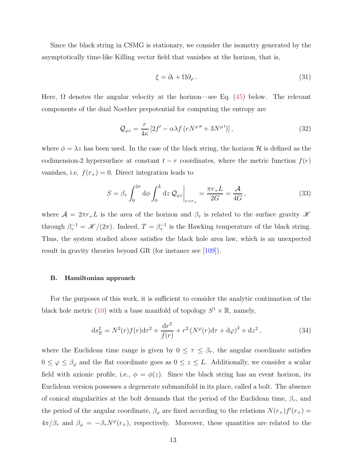Since the black string in CSMG is stationary, we consider the isometry generated by the asymptotically time-like Killing vector field that vanishes at the horizon, that is,

$$
\xi = \partial_t + \Omega \partial_\varphi \,. \tag{31}
$$

Here,  $\Omega$  denotes the angular velocity at the horizon—see Eq. [\(45\)](#page-14-0) below. The relevant components of the dual Noether prepotential for computing the entropy are

$$
\mathcal{Q}_{\varphi z} = \frac{r}{4\kappa} \left[ 2f' - \alpha \lambda f \left( r N^{\varphi\prime\prime} + 3N^{\varphi\prime} \right) \right],\tag{32}
$$

where  $\phi = \lambda z$  has been used. In the case of the black string, the horizon H is defined as the codimension-2 hypersurface at constant  $t - r$  coordinates, where the metric function  $f(r)$ vanishes, i.e.  $f(r_{+}) = 0$ . Direct integration leads to

$$
S = \beta_{\tau} \int_0^{2\pi} d\phi \int_0^L dz \, \mathcal{Q}_{\varphi z} \bigg|_{r=r_+} = \frac{\pi r_+ L}{2G} = \frac{\mathcal{A}}{4G},\tag{33}
$$

where  $\mathcal{A} = 2\pi r_+ L$  is the area of the horizon and  $\beta_{\tau}$  is related to the surface gravity  $\mathcal{K}$ through  $\beta_{\tau}^{-1} = \mathscr{K}/(2\pi)$ . Indeed,  $T = \beta_{\tau}^{-1}$  is the Hawking temperature of the black string. Thus, the system studied above satisfies the black hole area law, which is an unexpected result in gravity theories beyond GR (for instance see [\[109\]](#page-27-12)).

#### <span id="page-12-0"></span>B. Hamiltonian approach

For the purposes of this work, it is sufficient to consider the analytic continuation of the black hole metric [\(10\)](#page-6-0) with a base manifold of topology  $S^1 \times \mathbb{R}$ , namely,

$$
ds_E^2 = N^2(r)f(r)dr^2 + \frac{dr^2}{f(r)} + r^2(N^{\varphi}(r)d\tau + d\varphi)^2 + dz^2,
$$
\n(34)

where the Euclidean time range is given by  $0 \leq \tau \leq \beta_{\tau}$ , the angular coordinate satisfies  $0 \le \varphi \le \beta_{\varphi}$  and the flat coordinate goes as  $0 \le z \le L$ . Additionally, we consider a scalar field with axionic profile, i.e.,  $\phi = \phi(z)$ . Since the black string has an event horizon, its Euclidean version possesses a degenerate submanifold in its place, called a bolt. The absence of conical singularities at the bolt demands that the period of the Euclidean time,  $\beta_{\tau}$ , and the period of the angular coordinate,  $\beta_{\varphi}$  are fixed according to the relations  $N(r_{+})f'(r_{+})=$  $4\pi/\beta_{\tau}$  and  $\beta_{\varphi} = -\beta_{\tau}N^{\varphi}(r_{+}),$  respectively. Moreover, these quantities are related to the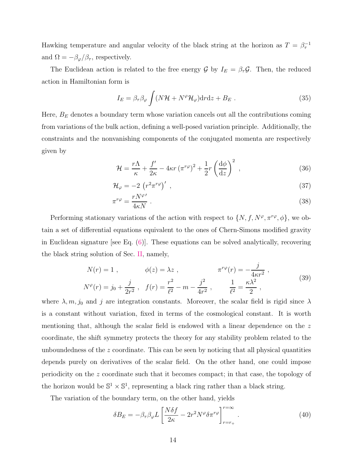Hawking temperature and angular velocity of the black string at the horizon as  $T = \beta_{\tau}^{-1}$ and  $\Omega = -\beta_{\varphi}/\beta_{\tau}$ , respectively.

The Euclidean action is related to the free energy  $\mathcal{G}$  by  $I_E = \beta_\tau \mathcal{G}$ . Then, the reduced action in Hamiltonian form is

<span id="page-13-1"></span>
$$
I_E = \beta_\tau \beta_\varphi \int (N\mathcal{H} + N^\varphi \mathcal{H}_\varphi) dr dz + B_E . \qquad (35)
$$

Here,  $B_E$  denotes a boundary term whose variation cancels out all the contributions coming from variations of the bulk action, defining a well-posed variation principle. Additionally, the constraints and the nonvanishing components of the conjugated momenta are respectively given by

$$
\mathcal{H} = \frac{r\Lambda}{\kappa} + \frac{f'}{2\kappa} - 4\kappa r \left(\pi^{r\varphi}\right)^2 + \frac{1}{2}r \left(\frac{\mathrm{d}\phi}{\mathrm{d}z}\right)^2 \,,\tag{36}
$$

$$
\mathcal{H}_{\varphi} = -2 \left( r^2 \pi^{r\varphi} \right)' \tag{37}
$$

<span id="page-13-0"></span>
$$
\pi^{r\varphi} = \frac{rN^{\varphi}}{4\kappa N} \ . \tag{38}
$$

Performing stationary variations of the action with respect to  $\{N, f, N^{\varphi}, \pi^{r\varphi}, \phi\}$ , we obtain a set of differential equations equivalent to the ones of Chern-Simons modified gravity in Euclidean signature [see Eq. [\(6\)](#page-5-2)]. These equations can be solved analytically, recovering the black string solution of Sec. [II,](#page-4-0) namely,

$$
N(r) = 1, \qquad \phi(z) = \lambda z, \qquad \pi^{r\varphi}(r) = -\frac{j}{4\kappa r^2},
$$
  

$$
N^{\varphi}(r) = j_0 + \frac{j}{2r^2}, \qquad f(r) = \frac{r^2}{\ell^2} - m - \frac{j^2}{4r^2}, \qquad \frac{1}{\ell^2} = \frac{\kappa \lambda^2}{2},
$$
 (39)

where  $\lambda, m, j_0$  and j are integration constants. Moreover, the scalar field is rigid since  $\lambda$ is a constant without variation, fixed in terms of the cosmological constant. It is worth mentioning that, although the scalar field is endowed with a linear dependence on the  $z$ coordinate, the shift symmetry protects the theory for any stability problem related to the unboundedness of the z coordinate. This can be seen by noticing that all physical quantities depends purely on derivatives of the scalar field. On the other hand, one could impose periodicity on the z coordinate such that it becomes compact; in that case, the topology of the horizon would be  $\mathbb{S}^1 \times \mathbb{S}^1$ , representing a black ring rather than a black string.

The variation of the boundary term, on the other hand, yields

$$
\delta B_E = -\beta_\tau \beta_\varphi L \left[ \frac{N \delta f}{2\kappa} - 2r^2 N^\varphi \delta \pi^{r\varphi} \right]_{r=r_+}^{r=\infty} . \tag{40}
$$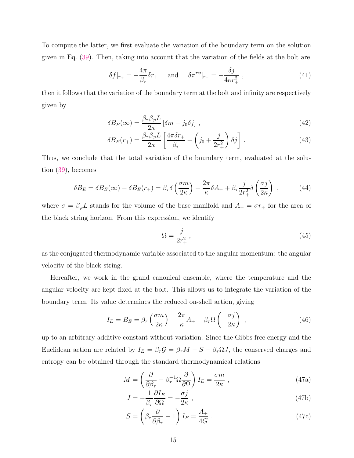To compute the latter, we first evaluate the variation of the boundary term on the solution given in Eq. [\(39\)](#page-13-0). Then, taking into account that the variation of the fields at the bolt are

$$
\delta f|_{r_{+}} = -\frac{4\pi}{\beta_{\tau}} \delta r_{+} \quad \text{and} \quad \delta \pi^{r\varphi}|_{r_{+}} = -\frac{\delta j}{4\kappa r_{+}^{2}} \,, \tag{41}
$$

then it follows that the variation of the boundary term at the bolt and infinity are respectively given by

$$
\delta B_E(\infty) = \frac{\beta_\tau \beta_\varphi L}{2\kappa} \left[ \delta m - j_0 \delta j \right],\tag{42}
$$

$$
\delta B_E(r_+) = \frac{\beta_\tau \beta_\varphi L}{2\kappa} \left[ \frac{4\pi \delta r_+}{\beta_\tau} - \left( j_0 + \frac{j}{2r_+^2} \right) \delta j \right]. \tag{43}
$$

Thus, we conclude that the total variation of the boundary term, evaluated at the solution [\(39\)](#page-13-0), becomes

$$
\delta B_E = \delta B_E(\infty) - \delta B_E(r_+) = \beta_\tau \delta \left(\frac{\sigma m}{2\kappa}\right) - \frac{2\pi}{\kappa} \delta A_+ + \beta_\tau \frac{j}{2r_+^2} \delta \left(\frac{\sigma j}{2\kappa}\right) ,\qquad (44)
$$

where  $\sigma = \beta_{\varphi} L$  stands for the volume of the base manifold and  $A_+ = \sigma r_+$  for the area of the black string horizon. From this expression, we identify

<span id="page-14-0"></span>
$$
\Omega = \frac{j}{2r_+^2},\tag{45}
$$

as the conjugated thermodynamic variable associated to the angular momentum: the angular velocity of the black string.

Hereafter, we work in the grand canonical ensemble, where the temperature and the angular velocity are kept fixed at the bolt. This allows us to integrate the variation of the boundary term. Its value determines the reduced on-shell action, giving

$$
I_E = B_E = \beta_\tau \left(\frac{\sigma m}{2\kappa}\right) - \frac{2\pi}{\kappa} A_+ - \beta_\tau \Omega \left(-\frac{\sigma j}{2\kappa}\right) ,\qquad (46)
$$

up to an arbitrary additive constant without variation. Since the Gibbs free energy and the Euclidean action are related by  $I_E = \beta_\tau \mathcal{G} = \beta_\tau M - S - \beta_\tau \Omega J$ , the conserved charges and entropy can be obtained through the standard thermodynamical relations

$$
M = \left(\frac{\partial}{\partial \beta_{\tau}} - \beta_{\tau}^{-1} \Omega \frac{\partial}{\partial \Omega}\right) I_{E} = \frac{\sigma m}{2\kappa} , \qquad (47a)
$$

$$
J = -\frac{1}{\beta_{\tau}} \frac{\partial I_E}{\partial \Omega} = -\frac{\sigma j}{2\kappa} \,, \tag{47b}
$$

$$
S = \left(\beta_{\tau} \frac{\partial}{\partial \beta_{\tau}} - 1\right) I_E = \frac{A_+}{4G} \,. \tag{47c}
$$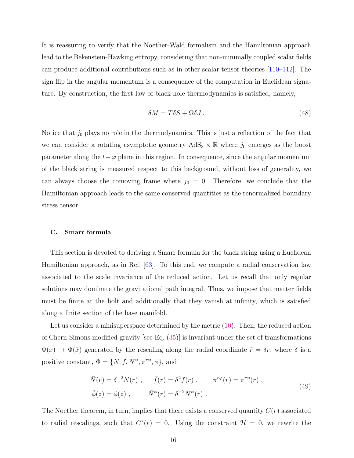It is reassuring to verify that the Noether-Wald formalism and the Hamiltonian approach lead to the Bekenstein-Hawking entropy, considering that non-minimally coupled scalar fields can produce additional contributions such as in other scalar-tensor theories [\[110](#page-27-13)[–112](#page-27-14)]. The sign flip in the angular momentum is a consequence of the computation in Euclidean signature. By construction, the first law of black hole thermodynamics is satisfied, namely,

$$
\delta M = T \delta S + \Omega \delta J. \tag{48}
$$

Notice that  $j_0$  plays no role in the thermodynamics. This is just a reflection of the fact that we can consider a rotating asymptotic geometry  $AdS_3 \times \mathbb{R}$  where  $j_0$  emerges as the boost parameter along the  $t-\varphi$  plane in this region. In consequence, since the angular momentum of the black string is measured respect to this background, without loss of generality, we can always choose the comoving frame where  $j_0 = 0$ . Therefore, we conclude that the Hamiltonian approach leads to the same conserved quantities as the renormalized boundary stress tensor.

### <span id="page-15-0"></span>C. Smarr formula

This section is devoted to deriving a Smarr formula for the black string using a Euclidean Hamiltonian approach, as in Ref. [\[63](#page-25-11)]. To this end, we compute a radial conservation law associated to the scale invariance of the reduced action. Let us recall that only regular solutions may dominate the gravitational path integral. Thus, we impose that matter fields must be finite at the bolt and additionally that they vanish at infinity, which is satisfied along a finite section of the base manifold.

Let us consider a minisuperspace determined by the metric [\(10\)](#page-6-0). Then, the reduced action of Chern-Simons modified gravity [see Eq. [\(35\)](#page-13-1)] is invariant under the set of transformations  $\Phi(x) \to \bar{\Phi}(\bar{x})$  generated by the rescaling along the radial coordinate  $\bar{r} = \delta r$ , where  $\delta$  is a positive constant,  $\Phi = \{N, f, N^{\varphi}, \pi^{r\varphi}, \phi\}$ , and

$$
\bar{N}(\bar{r}) = \delta^{-2} N(r) , \qquad \bar{f}(\bar{r}) = \delta^2 f(r) , \qquad \bar{\pi}^{r\varphi}(\bar{r}) = \pi^{r\varphi}(r) ,
$$
\n
$$
\bar{\phi}(z) = \phi(z) , \qquad \bar{N}^{\varphi}(\bar{r}) = \delta^{-2} N^{\varphi}(r) .
$$
\n(49)

The Noether theorem, in turn, implies that there exists a conserved quantity  $C(r)$  associated to radial rescalings, such that  $C'(r) = 0$ . Using the constraint  $\mathcal{H} = 0$ , we rewrite the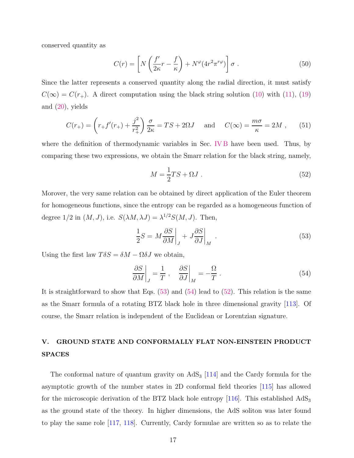conserved quantity as

$$
C(r) = \left[ N \left( \frac{f'}{2\kappa} r - \frac{f}{\kappa} \right) + N^{\varphi} (4r^2 \pi^{r\varphi}) \right] \sigma . \tag{50}
$$

Since the latter represents a conserved quantity along the radial direction, it must satisfy  $C(\infty) = C(r_{+})$ . A direct computation using the black string solution [\(10\)](#page-6-0) with [\(11\)](#page-6-2), [\(19\)](#page-7-0) and [\(20\)](#page-7-1), yields

$$
C(r_{+}) = \left(r_{+}f'(r_{+}) + \frac{j^{2}}{r_{+}^{2}}\right)\frac{\sigma}{2\kappa} = TS + 2\Omega J \quad \text{and} \quad C(\infty) = \frac{m\sigma}{\kappa} = 2M , \quad (51)
$$

where the definition of thermodynamic variables in Sec. [IV B](#page-12-0) have been used. Thus, by comparing these two expressions, we obtain the Smarr relation for the black string, namely,

<span id="page-16-3"></span><span id="page-16-1"></span>
$$
M = \frac{1}{2}TS + \Omega J. \tag{52}
$$

Morover, the very same relation can be obtained by direct application of the Euler theorem for homogeneous functions, since the entropy can be regarded as a homogeneous function of degree  $1/2$  in  $(M, J)$ , i.e.  $S(\lambda M, \lambda J) = \lambda^{1/2} S(M, J)$ . Then,

<span id="page-16-2"></span>
$$
\frac{1}{2}S = M \frac{\partial S}{\partial M} \bigg|_J + J \frac{\partial S}{\partial J} \bigg|_M \tag{53}
$$

Using the first law  $T\delta S = \delta M - \Omega \delta J$  we obtain,

$$
\left. \frac{\partial S}{\partial M} \right|_J = \frac{1}{T} \,, \quad \left. \frac{\partial S}{\partial J} \right|_M = -\frac{\Omega}{T} \,. \tag{54}
$$

It is straightforward to show that Eqs.  $(53)$  and  $(54)$  lead to  $(52)$ . This relation is the same as the Smarr formula of a rotating BTZ black hole in three dimensional gravity [\[113](#page-27-15)]. Of course, the Smarr relation is independent of the Euclidean or Lorentzian signature.

## <span id="page-16-0"></span>V. GROUND STATE AND CONFORMALLY FLAT NON-EINSTEIN PRODUCT SPACES

The conformal nature of quantum gravity on  $AdS_3$  [\[114](#page-27-16)] and the Cardy formula for the asymptotic growth of the number states in 2D conformal field theories [\[115](#page-27-17)] has allowed for the microscopic derivation of the BTZ black hole entropy  $[116]$ . This established  $AdS_3$ as the ground state of the theory. In higher dimensions, the AdS soliton was later found to play the same role [\[117](#page-27-19), [118](#page-27-20)]. Currently, Cardy formulae are written so as to relate the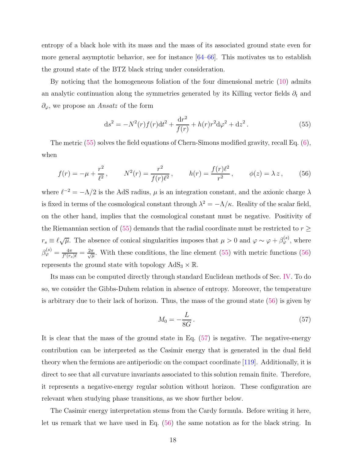entropy of a black hole with its mass and the mass of its associated ground state even for more general asymptotic behavior, see for instance [\[64](#page-25-12)[–66\]](#page-25-15). This motivates us to establish the ground state of the BTZ black string under consideration.

By noticing that the homogeneous foliation of the four dimensional metric [\(10\)](#page-6-0) admits an analytic continuation along the symmetries generated by its Killing vector fields  $\partial_t$  and  $\partial_{\varphi}$ , we propose an *Ansatz* of the form

<span id="page-17-1"></span><span id="page-17-0"></span>
$$
ds^{2} = -N^{2}(r)f(r)dt^{2} + \frac{dr^{2}}{f(r)} + h(r)r^{2}d\varphi^{2} + dz^{2}. \qquad (55)
$$

The metric [\(55\)](#page-17-0) solves the field equations of Chern-Simons modified gravity, recall Eq. [\(6\)](#page-5-2), when

$$
f(r) = -\mu + \frac{r^2}{\ell^2}, \qquad N^2(r) = \frac{r^2}{f(r)\ell^2}, \qquad h(r) = \frac{f(r)\ell^2}{r^2}, \qquad \phi(z) = \lambda z, \qquad (56)
$$

where  $\ell^{-2} = -\Lambda/2$  is the AdS radius,  $\mu$  is an integration constant, and the axionic charge  $\lambda$ is fixed in terms of the cosmological constant through  $\lambda^2 = -\Lambda/\kappa$ . Reality of the scalar field, on the other hand, implies that the cosmological constant must be negative. Positivity of the Riemannian section of [\(55\)](#page-17-0) demands that the radial coordinate must be restricted to  $r \geq$  $r_s \equiv \ell \sqrt{\mu}$ . The absence of conical singularities imposes that  $\mu > 0$  and  $\varphi \sim \varphi + \beta_{\varphi}^{(s)}$ , where  $\beta_{\varphi}^{(s)}=\frac{4\pi}{f'(r_s)}$  $\frac{4\pi}{f'(r_s)\ell} = \frac{2\pi}{\sqrt{\mu}}$ . With these conditions, the line element [\(55\)](#page-17-0) with metric functions [\(56\)](#page-17-1) represents the ground state with topology  $AdS_3 \times \mathbb{R}$ .

Its mass can be computed directly through standard Euclidean methods of Sec. [IV.](#page-10-0) To do so, we consider the Gibbs-Duhem relation in absence of entropy. Moreover, the temperature is arbitrary due to their lack of horizon. Thus, the mass of the ground state [\(56\)](#page-17-1) is given by

<span id="page-17-2"></span>
$$
M_0 = -\frac{L}{8G} \,. \tag{57}
$$

It is clear that the mass of the ground state in Eq. [\(57\)](#page-17-2) is negative. The negative-energy contribution can be interpreted as the Casimir energy that is generated in the dual field theory when the fermions are antiperiodic on the compact coordinate [\[119\]](#page-27-21). Additionally, it is direct to see that all curvature invariants associated to this solution remain finite. Therefore, it represents a negative-energy regular solution without horizon. These configuration are relevant when studying phase transitions, as we show further below.

The Casimir energy interpretation stems from the Cardy formula. Before writing it here, let us remark that we have used in Eq. [\(56\)](#page-17-1) the same notation as for the black string. In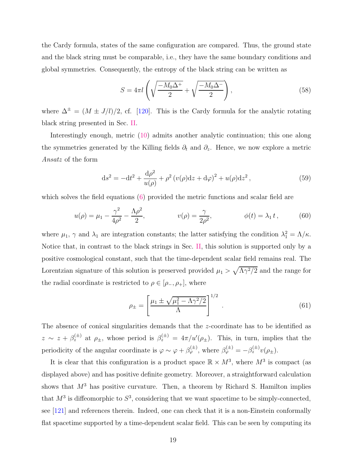the Cardy formula, states of the same configuration are compared. Thus, the ground state and the black string must be comparable, i.e., they have the same boundary conditions and global symmetries. Consequently, the entropy of the black string can be written as

$$
S = 4\pi l \left( \sqrt{\frac{-M_0 \Delta^+}{2}} + \sqrt{\frac{-M_0 \Delta^-}{2}} \right),\tag{58}
$$

where  $\Delta^{\pm} = (M \pm J/l)/2$ , cf. [\[120\]](#page-27-22). This is the Cardy formula for the analytic rotating black string presented in Sec. [II.](#page-4-0)

Interestingly enough, metric [\(10\)](#page-6-0) admits another analytic continuation; this one along the symmetries generated by the Killing fields  $\partial_t$  and  $\partial_z$ . Hence, we now explore a metric Ansatz of the form

$$
ds^{2} = -dt^{2} + \frac{d\rho^{2}}{u(\rho)} + \rho^{2} (v(\rho)dz + d\varphi)^{2} + u(\rho)dz^{2},
$$
\n(59)

which solves the field equations [\(6\)](#page-5-2) provided the metric functions and scalar field are

$$
u(\rho) = \mu_1 - \frac{\gamma^2}{4\rho^2} - \frac{\Lambda\rho^2}{2}, \qquad v(\rho) = \frac{\gamma}{2\rho^2}, \qquad \phi(t) = \lambda_1 t, \qquad (60)
$$

where  $\mu_1$ ,  $\gamma$  and  $\lambda_1$  are integration constants; the latter satisfying the condition  $\lambda_1^2 = \Lambda/\kappa$ . Notice that, in contrast to the black strings in Sec. [II,](#page-4-0) this solution is supported only by a positive cosmological constant, such that the time-dependent scalar field remains real. The Lorentzian signature of this solution is preserved provided  $\mu_1 > \sqrt{\Lambda \gamma^2/2}$  and the range for the radial coordinate is restricted to  $\rho \in [\rho_-, \rho_+]$ , where

$$
\rho_{\pm} = \left[ \frac{\mu_1 \pm \sqrt{\mu_1^2 - \Lambda \gamma^2 / 2}}{\Lambda} \right]^{1/2} . \tag{61}
$$

The absence of conical singularities demands that the z-coordinate has to be identified as  $z \sim z + \beta_z^{(\pm)}$  at  $\rho_{\pm}$ , whose period is  $\beta_z^{(\pm)} = 4\pi/u'(\rho_{\pm})$ . This, in turn, implies that the periodicity of the angular coordinate is  $\varphi \sim \varphi + \beta_{\varphi}^{(\pm)}$ , where  $\beta_{\varphi}^{(\pm)} = -\beta_z^{(\pm)}v(\rho_{\pm}).$ 

It is clear that this configuration is a product space  $\mathbb{R} \times M^3$ , where  $M^3$  is compact (as displayed above) and has positive definite geometry. Moreover, a straightforward calculation shows that  $M<sup>3</sup>$  has positive curvature. Then, a theorem by Richard S. Hamilton implies that  $M^3$  is diffeomorphic to  $S^3$ , considering that we want spacetime to be simply-connected, see [\[121](#page-27-23)] and references therein. Indeed, one can check that it is a non-Einstein conformally flat spacetime supported by a time-dependent scalar field. This can be seen by computing its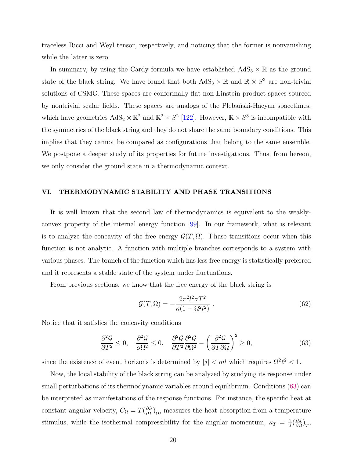traceless Ricci and Weyl tensor, respectively, and noticing that the former is nonvanishing while the latter is zero.

In summary, by using the Cardy formula we have established  $AdS_3 \times \mathbb{R}$  as the ground state of the black string. We have found that both  $AdS_3 \times \mathbb{R}$  and  $\mathbb{R} \times S^3$  are non-trivial solutions of CSMG. These spaces are conformally flat non-Einstein product spaces sourced by nontrivial scalar fields. These spaces are analogs of the Plebantski-Hacyan spacetimes, which have geometries  $AdS_2 \times \mathbb{R}^2$  and  $\mathbb{R}^2 \times S^2$  [\[122\]](#page-28-0). However,  $\mathbb{R} \times S^3$  is incompatible with the symmetries of the black string and they do not share the same boundary conditions. This implies that they cannot be compared as configurations that belong to the same ensemble. We postpone a deeper study of its properties for future investigations. Thus, from hereon, we only consider the ground state in a thermodynamic context.

## <span id="page-19-0"></span>VI. THERMODYNAMIC STABILITY AND PHASE TRANSITIONS

It is well known that the second law of thermodynamics is equivalent to the weaklyconvex property of the internal energy function [\[99](#page-27-3)]. In our framework, what is relevant is to analyze the concavity of the free energy  $\mathcal{G}(T,\Omega)$ . Phase transitions occur when this function is not analytic. A function with multiple branches corresponds to a system with various phases. The branch of the function which has less free energy is statistically preferred and it represents a stable state of the system under fluctuations.

From previous sections, we know that the free energy of the black string is

<span id="page-19-2"></span><span id="page-19-1"></span>
$$
\mathcal{G}(T,\Omega) = -\frac{2\pi^2 l^2 \sigma T^2}{\kappa (1 - \Omega^2 l^2)}\,. \tag{62}
$$

Notice that it satisfies the concavity conditions

$$
\frac{\partial^2 \mathcal{G}}{\partial T^2} \le 0, \quad \frac{\partial^2 \mathcal{G}}{\partial \Omega^2} \le 0, \quad \frac{\partial^2 \mathcal{G}}{\partial T^2} \frac{\partial^2 \mathcal{G}}{\partial \Omega^2} - \left(\frac{\partial^2 \mathcal{G}}{\partial T \partial \Omega}\right)^2 \ge 0,\tag{63}
$$

since the existence of event horizons is determined by  $|j| < m l$  which requires  $\Omega^2 \ell^2 < 1$ .

Now, the local stability of the black string can be analyzed by studying its response under small perturbations of its thermodynamic variables around equilibrium. Conditions [\(63\)](#page-19-1) can be interpreted as manifestations of the response functions. For instance, the specific heat at constant angular velocity,  $C_{\Omega} = T(\frac{\partial S}{\partial T})_{\Omega}$ , measures the heat absorption from a temperature stimulus, while the isothermal compressibility for the angular momentum,  $\kappa_T = \frac{1}{J}$  $rac{1}{J}(\frac{\partial J}{\partial \Omega}$  $\frac{\partial J}{\partial \Omega}\big)_T,$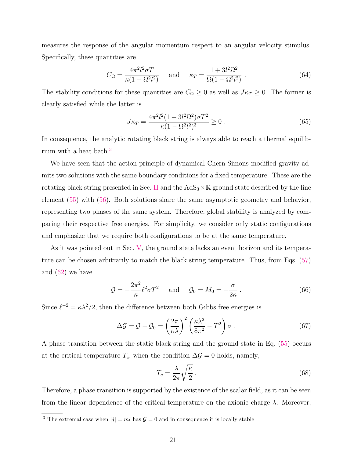measures the response of the angular momentum respect to an angular velocity stimulus. Specifically, these quantities are

$$
C_{\Omega} = \frac{4\pi^2 l^2 \sigma T}{\kappa (1 - \Omega^2 l^2)} \quad \text{and} \quad \kappa_T = \frac{1 + 3l^2 \Omega^2}{\Omega (1 - \Omega^2 l^2)} \,. \tag{64}
$$

The stability conditions for these quantities are  $C_{\Omega} \geq 0$  as well as  $J\kappa_T \geq 0$ . The former is clearly satisfied while the latter is

$$
J\kappa_T = \frac{4\pi^2 l^2 (1 + 3l^2 \Omega^2) \sigma T^2}{\kappa (1 - \Omega^2 l^2)^3} \ge 0.
$$
 (65)

In consequence, the analytic rotating black string is always able to reach a thermal equilib-rium with a heat bath.<sup>[3](#page-20-0)</sup>

We have seen that the action principle of dynamical Chern-Simons modified gravity admits two solutions with the same boundary conditions for a fixed temperature. These are the rotating black string presented in Sec. [II](#page-4-0) and the  $AdS_3 \times \mathbb{R}$  ground state described by the line element [\(55\)](#page-17-0) with [\(56\)](#page-17-1). Both solutions share the same asymptotic geometry and behavior, representing two phases of the same system. Therefore, global stability is analyzed by comparing their respective free energies. For simplicity, we consider only static configurations and emphasize that we require both configurations to be at the same temperature.

As it was pointed out in Sec. [V,](#page-16-0) the ground state lacks an event horizon and its temperature can be chosen arbitrarily to match the black string temperature. Thus, from Eqs. [\(57\)](#page-17-2) and [\(62\)](#page-19-2) we have

$$
\mathcal{G} = -\frac{2\pi^2}{\kappa} \ell^2 \sigma T^2 \quad \text{and} \quad \mathcal{G}_0 = M_0 = -\frac{\sigma}{2\kappa} \,. \tag{66}
$$

Since  $\ell^{-2} = \kappa \lambda^2/2$ , then the difference between both Gibbs free energies is

$$
\Delta \mathcal{G} = \mathcal{G} - \mathcal{G}_0 = \left(\frac{2\pi}{\kappa \lambda}\right)^2 \left(\frac{\kappa \lambda^2}{8\pi^2} - T^2\right) \sigma \tag{67}
$$

A phase transition between the static black string and the ground state in Eq. [\(55\)](#page-17-0) occurs at the critical temperature  $T_c$ , when the condition  $\Delta \mathcal{G} = 0$  holds, namely,

<span id="page-20-2"></span><span id="page-20-1"></span>
$$
T_c = \frac{\lambda}{2\pi} \sqrt{\frac{\kappa}{2}}.
$$
\n(68)

Therefore, a phase transition is supported by the existence of the scalar field, as it can be seen from the linear dependence of the critical temperature on the axionic charge  $\lambda$ . Moreover,

<span id="page-20-0"></span><sup>&</sup>lt;sup>3</sup> The extremal case when  $|j| = ml$  has  $\mathcal{G} = 0$  and in consequence it is locally stable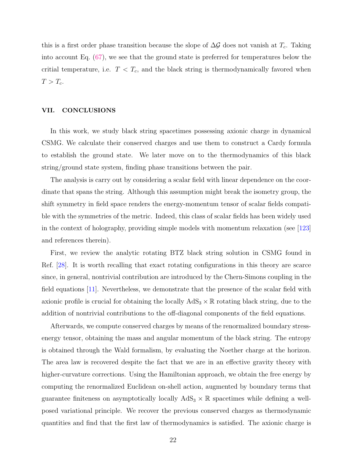this is a first order phase transition because the slope of  $\Delta \mathcal{G}$  does not vanish at  $T_c$ . Taking into account Eq. [\(67\)](#page-20-1), we see that the ground state is preferred for temperatures below the critial temperature, i.e.  $T < T_c$ , and the black string is thermodynamically favored when  $T > T_c$ .

#### <span id="page-21-0"></span>VII. CONCLUSIONS

In this work, we study black string spacetimes possessing axionic charge in dynamical CSMG. We calculate their conserved charges and use them to construct a Cardy formula to establish the ground state. We later move on to the thermodynamics of this black string/ground state system, finding phase transitions between the pair.

The analysis is carry out by considering a scalar field with linear dependence on the coordinate that spans the string. Although this assumption might break the isometry group, the shift symmetry in field space renders the energy-momentum tensor of scalar fields compatible with the symmetries of the metric. Indeed, this class of scalar fields has been widely used in the context of holography, providing simple models with momentum relaxation (see [\[123\]](#page-28-1) and references therein).

First, we review the analytic rotating BTZ black string solution in CSMG found in Ref. [\[28](#page-24-9)]. It is worth recalling that exact rotating configurations in this theory are scarce since, in general, nontrivial contribution are introduced by the Chern-Simons coupling in the field equations [\[11\]](#page-23-9). Nevertheless, we demonstrate that the presence of the scalar field with axionic profile is crucial for obtaining the locally  $AdS_3 \times \mathbb{R}$  rotating black string, due to the addition of nontrivial contributions to the off-diagonal components of the field equations.

Afterwards, we compute conserved charges by means of the renormalized boundary stressenergy tensor, obtaining the mass and angular momentum of the black string. The entropy is obtained through the Wald formalism, by evaluating the Noether charge at the horizon. The area law is recovered despite the fact that we are in an effective gravity theory with higher-curvature corrections. Using the Hamiltonian approach, we obtain the free energy by computing the renormalized Euclidean on-shell action, augmented by boundary terms that guarantee finiteness on asymptotically locally  $AdS_3 \times \mathbb{R}$  spacetimes while defining a wellposed variational principle. We recover the previous conserved charges as thermodynamic quantities and find that the first law of thermodynamics is satisfied. The axionic charge is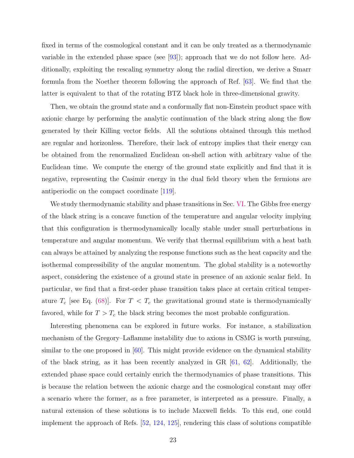fixed in terms of the cosmological constant and it can be only treated as a thermodynamic variable in the extended phase space (see [\[93](#page-26-19)]); approach that we do not follow here. Additionally, exploiting the rescaling symmetry along the radial direction, we derive a Smarr formula from the Noether theorem following the approach of Ref. [\[63\]](#page-25-11). We find that the latter is equivalent to that of the rotating BTZ black hole in three-dimensional gravity.

Then, we obtain the ground state and a conformally flat non-Einstein product space with axionic charge by performing the analytic continuation of the black string along the flow generated by their Killing vector fields. All the solutions obtained through this method are regular and horizonless. Therefore, their lack of entropy implies that their energy can be obtained from the renormalized Euclidean on-shell action with arbitrary value of the Euclidean time. We compute the energy of the ground state explicitly and find that it is negative, representing the Casimir energy in the dual field theory when the fermions are antiperiodic on the compact coordinate [\[119](#page-27-21)].

We study thermodynamic stability and phase transitions in Sec. [VI.](#page-19-0) The Gibbs free energy of the black string is a concave function of the temperature and angular velocity implying that this configuration is thermodynamically locally stable under small perturbations in temperature and angular momentum. We verify that thermal equilibrium with a heat bath can always be attained by analyzing the response functions such as the heat capacity and the isothermal compressibility of the angular momentum. The global stability is a noteworthy aspect, considering the existence of a ground state in presence of an axionic scalar field. In particular, we find that a first-order phase transition takes place at certain critical temperature  $T_c$  [see Eq. [\(68\)](#page-20-2)]. For  $T < T_c$  the gravitational ground state is thermodynamically favored, while for  $T > T_c$  the black string becomes the most probable configuration.

Interesting phenomena can be explored in future works. For instance, a stabilization mechanism of the Gregory–Laflamme instability due to axions in CSMG is worth pursuing, similar to the one proposed in [\[60](#page-25-8)]. This might provide evidence on the dynamical stability of the black string, as it has been recently analyzed in GR [\[61](#page-25-9), [62\]](#page-25-10). Additionally, the extended phase space could certainly enrich the thermodynamics of phase transitions. This is because the relation between the axionic charge and the cosmological constant may offer a scenario where the former, as a free parameter, is interpreted as a pressure. Finally, a natural extension of these solutions is to include Maxwell fields. To this end, one could implement the approach of Refs. [\[52,](#page-25-16) [124](#page-28-2), [125](#page-28-3)], rendering this class of solutions compatible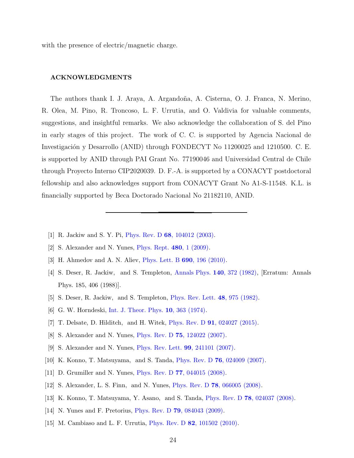with the presence of electric/magnetic charge.

#### ACKNOWLEDGMENTS

The authors thank I. J. Araya, A. Argandoña, A. Cisterna, O. J. Franca, N. Merino, R. Olea, M. Pino, R. Troncoso, L. F. Urrutia, and O. Valdivia for valuable comments, suggestions, and insightful remarks. We also acknowledge the collaboration of S. del Pino in early stages of this project. The work of C. C. is supported by Agencia Nacional de Investigación y Desarrollo (ANID) through FONDECYT No 11200025 and 1210500. C. E. is supported by ANID through PAI Grant No. 77190046 and Universidad Central de Chile through Proyecto Interno CIP2020039. D. F.-A. is supported by a CONACYT postdoctoral fellowship and also acknowledges support from CONACYT Grant No A1-S-11548. K.L. is financially supported by Beca Doctorado Nacional No 21182110, ANID.

- <span id="page-23-0"></span>[1] R. Jackiw and S. Y. Pi, Phys. Rev. D 68[, 104012 \(2003\).](http://dx.doi.org/10.1103/PhysRevD.68.104012)
- <span id="page-23-1"></span>[2] S. Alexander and N. Yunes, [Phys. Rept.](http://dx.doi.org/10.1016/j.physrep.2009.07.002) 480, 1 (2009).
- <span id="page-23-2"></span>[3] H. Ahmedov and A. N. Aliev, [Phys. Lett. B](http://dx.doi.org/10.1016/j.physletb.2010.05.021) 690, 196 (2010).
- <span id="page-23-3"></span>[4] S. Deser, R. Jackiw, and S. Templeton, [Annals Phys.](http://dx.doi.org/10.1016/0003-4916(82)90164-6) 140, 372 (1982), [Erratum: Annals Phys. 185, 406 (1988)].
- <span id="page-23-4"></span>[5] S. Deser, R. Jackiw, and S. Templeton, [Phys. Rev. Lett.](http://dx.doi.org/10.1103/PhysRevLett.48.975) 48, 975 (1982).
- <span id="page-23-5"></span>[6] G. W. Horndeski, [Int. J. Theor. Phys.](http://dx.doi.org/10.1007/BF01807638) 10, 363 (1974).
- <span id="page-23-6"></span>[7] T. Delsate, D. Hilditch, and H. Witek, Phys. Rev. D 91[, 024027 \(2015\).](http://dx.doi.org/10.1103/PhysRevD.91.024027)
- <span id="page-23-8"></span><span id="page-23-7"></span>[8] S. Alexander and N. Yunes, Phys. Rev. D 75[, 124022 \(2007\).](http://dx.doi.org/10.1103/PhysRevD.75.124022)
- [9] S. Alexander and N. Yunes, [Phys. Rev. Lett.](http://dx.doi.org/10.1103/PhysRevLett.99.241101) 99, 241101 (2007).
- [10] K. Konno, T. Matsuyama, and S. Tanda, Phys. Rev. D 76[, 024009 \(2007\).](http://dx.doi.org/10.1103/PhysRevD.76.024009)
- <span id="page-23-9"></span>[11] D. Grumiller and N. Yunes, Phys. Rev. D 77[, 044015 \(2008\).](http://dx.doi.org/10.1103/PhysRevD.77.044015)
- [12] S. Alexander, L. S. Finn, and N. Yunes, Phys. Rev. D 78[, 066005 \(2008\).](http://dx.doi.org/10.1103/PhysRevD.78.066005)
- [13] K. Konno, T. Matsuyama, Y. Asano, and S. Tanda, Phys. Rev. D 78[, 024037 \(2008\).](http://dx.doi.org/ 10.1103/PhysRevD.78.024037)
- [14] N. Yunes and F. Pretorius, Phys. Rev. D **79**[, 084043 \(2009\).](http://dx.doi.org/10.1103/PhysRevD.79.084043)
- [15] M. Cambiaso and L. F. Urrutia, *Phys. Rev. D 82*[, 101502 \(2010\).](http://dx.doi.org/10.1103/PhysRevD.82.101502)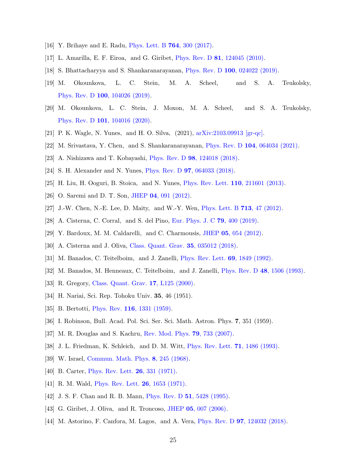- <span id="page-24-1"></span><span id="page-24-0"></span>[16] Y. Brihaye and E. Radu, [Phys. Lett. B](http://dx.doi.org/10.1016/j.physletb.2016.11.055) 764, 300 (2017).
- <span id="page-24-2"></span>[17] L. Amarilla, E. F. Eiroa, and G. Giribet, Phys. Rev. D 81[, 124045 \(2010\).](http://dx.doi.org/10.1103/PhysRevD.81.124045)
- [18] S. Bhattacharyya and S. Shankaranarayanan, Phys. Rev. D 100[, 024022 \(2019\).](http://dx.doi.org/10.1103/PhysRevD.100.024022)
- [19] M. Okounkova, L. C. Stein, M. A. Scheel, and S. A. Teukolsky, Phys. Rev. D 100[, 104026 \(2019\).](http://dx.doi.org/10.1103/PhysRevD.100.104026)
- [20] M. Okounkova, L. C. Stein, J. Moxon, M. A. Scheel, and S. A. Teukolsky, Phys. Rev. D 101[, 104016 \(2020\).](http://dx.doi.org/10.1103/PhysRevD.101.104016)
- <span id="page-24-3"></span>[21] P. K. Wagle, N. Yunes, and H. O. Silva, (2021), [arXiv:2103.09913 \[gr-qc\].](http://arxiv.org/abs/2103.09913)
- <span id="page-24-4"></span>[22] M. Srivastava, Y. Chen, and S. Shankaranarayanan, Phys. Rev. D 104[, 064034 \(2021\).](http://dx.doi.org/10.1103/PhysRevD.104.064034)
- <span id="page-24-5"></span>[23] A. Nishizawa and T. Kobayashi, Phys. Rev. D 98[, 124018 \(2018\).](http://dx.doi.org/10.1103/PhysRevD.98.124018)
- <span id="page-24-6"></span>[24] S. H. Alexander and N. Yunes, Phys. Rev. D 97[, 064033 \(2018\).](http://dx.doi.org/10.1103/PhysRevD.97.064033)
- <span id="page-24-7"></span>[25] H. Liu, H. Ooguri, B. Stoica, and N. Yunes, [Phys. Rev. Lett.](http://dx.doi.org/ 10.1103/PhysRevLett.110.211601) 110, 211601 (2013).
- <span id="page-24-8"></span>[26] O. Saremi and D. T. Son, JHEP 04[, 091 \(2012\).](http://dx.doi.org/10.1007/JHEP04(2012)091)
- <span id="page-24-9"></span>[27] J.-W. Chen, N.-E. Lee, D. Maity, and W.-Y. Wen, [Phys. Lett. B](http://dx.doi.org/ 10.1016/j.physletb.2012.05.026) 713, 47 (2012).
- [28] A. Cisterna, C. Corral, and S. del Pino, [Eur. Phys. J. C](http://dx.doi.org/10.1140/epjc/s10052-019-6910-5) 79, 400 (2019).
- <span id="page-24-11"></span><span id="page-24-10"></span>[29] Y. Bardoux, M. M. Caldarelli, and C. Charmousis, JHEP 05[, 054 \(2012\).](http://dx.doi.org/10.1007/JHEP05(2012)054)
- [30] A. Cisterna and J. Oliva, [Class. Quant. Grav.](http://dx.doi.org/10.1088/1361-6382/aa9f7b) 35, 035012 (2018).
- <span id="page-24-12"></span>[31] M. Banados, C. Teitelboim, and J. Zanelli, [Phys. Rev. Lett.](http://dx.doi.org/10.1103/PhysRevLett.69.1849) 69, 1849 (1992).
- <span id="page-24-13"></span>[32] M. Banados, M. Henneaux, C. Teitelboim, and J. Zanelli, [Phys. Rev. D](http://dx.doi.org/10.1103/PhysRevD.48.1506) 48, 1506 (1993).
- <span id="page-24-14"></span>[33] R. Gregory, [Class. Quant. Grav.](http://dx.doi.org/10.1088/0264-9381/17/18/103) 17, L125 (2000).
- <span id="page-24-15"></span>[34] H. Nariai, Sci. Rep. Tohoku Univ. 35, 46 (1951).
- [35] B. Bertotti, *Phys. Rev.* **116**[, 1331 \(1959\).](http://dx.doi.org/10.1103/PhysRev.116.1331)
- <span id="page-24-16"></span>[36] I. Robinson, Bull. Acad. Pol. Sci. Ser. Sci. Math. Astron. Phys. 7, 351 (1959).
- <span id="page-24-17"></span>[37] M. R. Douglas and S. Kachru, [Rev. Mod. Phys.](http://dx.doi.org/10.1103/RevModPhys.79.733) 79, 733 (2007).
- <span id="page-24-18"></span>[38] J. L. Friedman, K. Schleich, and D. M. Witt, [Phys. Rev. Lett.](http://dx.doi.org/10.1103/PhysRevLett.71.1486) 71, 1486 (1993).
- <span id="page-24-19"></span>[39] W. Israel, [Commun. Math. Phys.](http://dx.doi.org/10.1007/BF01645859) 8, 245 (1968).
- [40] B. Carter, *[Phys. Rev. Lett.](http://dx.doi.org/10.1103/PhysRevLett.26.331)* **26**, 331 (1971).
- <span id="page-24-20"></span>[41] R. M. Wald, *[Phys. Rev. Lett.](http://dx.doi.org/10.1103/PhysRevLett.26.1653)* **26**, 1653 (1971).
- <span id="page-24-21"></span>[42] J. S. F. Chan and R. B. Mann, *[Phys. Rev. D](http://dx.doi.org/10.1103/PhysRevD.51.5428)* **51**, 5428 (1995).
- [43] G. Giribet, J. Oliva, and R. Troncoso, JHEP 05[, 007 \(2006\).](http://dx.doi.org/10.1088/1126-6708/2006/05/007)
- [44] M. Astorino, F. Canfora, M. Lagos, and A. Vera, Phys. Rev. D 97[, 124032 \(2018\).](http://dx.doi.org/ 10.1103/PhysRevD.97.124032)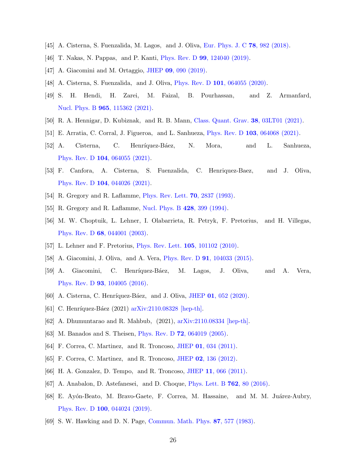- <span id="page-25-7"></span>[45] A. Cisterna, S. Fuenzalida, M. Lagos, and J. Oliva, [Eur. Phys. J. C](http://dx.doi.org/10.1140/epjc/s10052-018-6428-2) 78, 982 (2018).
- [46] T. Nakas, N. Pappas, and P. Kanti, Phys. Rev. D 99[, 124040 \(2019\).](http://dx.doi.org/10.1103/PhysRevD.99.124040)
- [47] A. Giacomini and M. Ortaggio, JHEP 09[, 090 \(2019\).](http://dx.doi.org/10.1007/JHEP09(2019)090)
- [48] A. Cisterna, S. Fuenzalida, and J. Oliva, Phys. Rev. D 101[, 064055 \(2020\).](http://dx.doi.org/10.1103/PhysRevD.101.064055)
- [49] S. H. Hendi, H. Zarei, M. Faizal, B. Pourhassan, and Z. Armanfard, Nucl. Phys. B 965[, 115362 \(2021\).](http://dx.doi.org/ 10.1016/j.nuclphysb.2021.115362)
- [50] R. A. Hennigar, D. Kubiznak, and R. B. Mann, [Class. Quant. Grav.](http://dx.doi.org/10.1088/1361-6382/abce48) 38, 03LT01 (2021).
- <span id="page-25-16"></span>[51] E. Arratia, C. Corral, J. Figueroa, and L. Sanhueza, Phys. Rev. D 103[, 064068 \(2021\).](http://dx.doi.org/10.1103/PhysRevD.103.064068)
- [52] A. Cisterna, C. Henríquez-Báez, N. Mora, and L. Sanhueza, Phys. Rev. D 104[, 064055 \(2021\).](http://dx.doi.org/10.1103/PhysRevD.104.064055)
- <span id="page-25-0"></span>[53] F. Canfora, A. Cisterna, S. Fuenzalida, C. Henriquez-Baez, and J. Oliva, Phys. Rev. D 104[, 044026 \(2021\).](http://dx.doi.org/ 10.1103/PhysRevD.104.044026)
- <span id="page-25-1"></span>[54] R. Gregory and R. Laflamme, [Phys. Rev. Lett.](http://dx.doi.org/10.1103/PhysRevLett.70.2837) 70, 2837 (1993).
- <span id="page-25-3"></span><span id="page-25-2"></span>[55] R. Gregory and R. Laflamme, [Nucl. Phys. B](http://dx.doi.org/10.1016/0550-3213(94)90206-2) 428, 399 (1994).
- [56] M. W. Choptuik, L. Lehner, I. Olabarrieta, R. Petryk, F. Pretorius, and H. Villegas, Phys. Rev. D 68[, 044001 \(2003\).](http://dx.doi.org/ 10.1103/PhysRevD.68.044001)
- <span id="page-25-4"></span>[57] L. Lehner and F. Pretorius, [Phys. Rev. Lett.](http://dx.doi.org/10.1103/PhysRevLett.105.101102) 105, 101102 (2010).
- <span id="page-25-5"></span>[58] A. Giacomini, J. Oliva, and A. Vera, Phys. Rev. D 91[, 104033 \(2015\).](http://dx.doi.org/10.1103/PhysRevD.91.104033)
- <span id="page-25-6"></span>[59] A. Giacomini, C. Henríquez-Báez, M. Lagos, J. Oliva, and A. Vera, Phys. Rev. D 93[, 104005 \(2016\).](http://dx.doi.org/ 10.1103/PhysRevD.93.104005)
- <span id="page-25-8"></span>[60] A. Cisterna, C. Henríquez-Báez, and J. Oliva, JHEP 01[, 052 \(2020\).](http://dx.doi.org/10.1007/JHEP01(2020)052)
- <span id="page-25-9"></span>[61] C. Henríquez-Báez (2021) [arXiv:2110.08328 \[hep-th\].](http://arxiv.org/abs/2110.08328)
- <span id="page-25-10"></span>[62] A. Dhumuntarao and R. Mahbub, (2021), [arXiv:2110.08334 \[hep-th\].](http://arxiv.org/abs/2110.08334)
- <span id="page-25-11"></span>[63] M. Banados and S. Theisen, Phys. Rev. D **72**[, 064019 \(2005\).](http://dx.doi.org/10.1103/PhysRevD.72.064019)
- <span id="page-25-12"></span>[64] F. Correa, C. Martinez, and R. Troncoso, JHEP 01[, 034 \(2011\).](http://dx.doi.org/10.1007/JHEP01(2011)034)
- [65] F. Correa, C. Martinez, and R. Troncoso, JHEP 02[, 136 \(2012\).](http://dx.doi.org/10.1007/JHEP02(2012)136)
- <span id="page-25-15"></span>[66] H. A. Gonzalez, D. Tempo, and R. Troncoso, JHEP 11[, 066 \(2011\).](http://dx.doi.org/10.1007/JHEP11(2011)066)
- [67] A. Anabalon, D. Astefanesei, and D. Choque, [Phys. Lett. B](http://dx.doi.org/10.1016/j.physletb.2016.08.049) 762, 80 (2016).
- <span id="page-25-13"></span>[68] E. Ayón-Beato, M. Bravo-Gaete, F. Correa, M. Hassaine, and M. M. Juárez-Aubry, Phys. Rev. D 100[, 044024 \(2019\).](http://dx.doi.org/10.1103/PhysRevD.100.044024)
- <span id="page-25-14"></span>[69] S. W. Hawking and D. N. Page, [Commun. Math. Phys.](http://dx.doi.org/10.1007/BF01208266) 87, 577 (1983).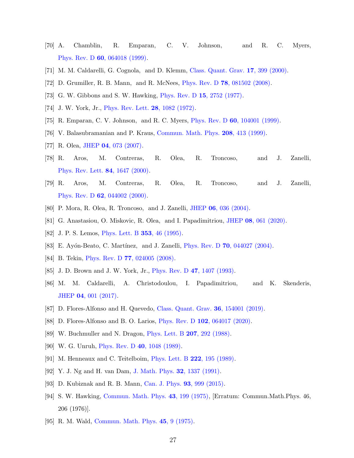- <span id="page-26-0"></span>[70] A. Chamblin, R. Emparan, C. V. Johnson, and R. C. Myers, Phys. Rev. D 60[, 064018 \(1999\).](http://dx.doi.org/10.1103/PhysRevD.60.064018)
- <span id="page-26-2"></span><span id="page-26-1"></span>[71] M. M. Caldarelli, G. Cognola, and D. Klemm, [Class. Quant. Grav.](http://dx.doi.org/10.1088/0264-9381/17/2/310) 17, 399 (2000).
- <span id="page-26-3"></span>[72] D. Grumiller, R. B. Mann, and R. McNees, Phys. Rev. D 78[, 081502 \(2008\).](http://dx.doi.org/10.1103/PhysRevD.78.081502)
- <span id="page-26-4"></span>[73] G. W. Gibbons and S. W. Hawking, [Phys. Rev. D](http://dx.doi.org/10.1103/PhysRevD.15.2752) 15, 2752 (1977).
- <span id="page-26-5"></span>[74] J. W. York, Jr., [Phys. Rev. Lett.](http://dx.doi.org/10.1103/PhysRevLett.28.1082) 28, 1082 (1972).
- <span id="page-26-6"></span>[75] R. Emparan, C. V. Johnson, and R. C. Myers, Phys. Rev. D 60[, 104001 \(1999\).](http://dx.doi.org/10.1103/PhysRevD.60.104001)
- <span id="page-26-7"></span>[76] V. Balasubramanian and P. Kraus, [Commun. Math. Phys.](http://dx.doi.org/10.1007/s002200050764) 208, 413 (1999).
- <span id="page-26-8"></span>[77] R. Olea, JHEP 04[, 073 \(2007\).](http://dx.doi.org/10.1088/1126-6708/2007/04/073)
- [78] R. Aros, M. Contreras, R. Olea, R. Troncoso, and J. Zanelli, [Phys. Rev. Lett.](http://dx.doi.org/ 10.1103/PhysRevLett.84.1647) 84, 1647 (2000).
- [79] R. Aros, M. Contreras, R. Olea, R. Troncoso, and J. Zanelli, Phys. Rev. D 62[, 044002 \(2000\).](http://dx.doi.org/ 10.1103/PhysRevD.62.044002)
- <span id="page-26-10"></span><span id="page-26-9"></span>[80] P. Mora, R. Olea, R. Troncoso, and J. Zanelli, JHEP 06[, 036 \(2004\).](http://dx.doi.org/ 10.1088/1126-6708/2004/06/036)
- [81] G. Anastasiou, O. Miskovic, R. Olea, and I. Papadimitriou, JHEP 08[, 061 \(2020\).](http://dx.doi.org/10.1007/JHEP08(2020)061)
- <span id="page-26-12"></span><span id="page-26-11"></span>[82] J. P. S. Lemos, [Phys. Lett. B](http://dx.doi.org/10.1016/0370-2693(95)00533-Q) **353**, 46 (1995).
- [83] E. Ayón-Beato, C. Martínez, and J. Zanelli, Phys. Rev. D **70**[, 044027 \(2004\).](http://dx.doi.org/10.1103/PhysRevD.70.044027)
- <span id="page-26-13"></span>[84] B. Tekin, Phys. Rev. D **77**[, 024005 \(2008\).](http://dx.doi.org/10.1103/PhysRevD.77.024005)
- <span id="page-26-14"></span>[85] J. D. Brown and J. W. York, Jr., *[Phys. Rev. D](http://dx.doi.org/10.1103/PhysRevD.47.1407)* 47, 1407 (1993).
- <span id="page-26-15"></span>[86] M. M. Caldarelli, A. Christodoulou, I. Papadimitriou, and K. Skenderis, JHEP 04[, 001 \(2017\).](http://dx.doi.org/10.1007/JHEP04(2017)001)
- [87] D. Flores-Alfonso and H. Quevedo, [Class. Quant. Grav.](http://dx.doi.org/10.1088/1361-6382/ab2c20) 36, 154001 (2019).
- <span id="page-26-16"></span>[88] D. Flores-Alfonso and B. O. Larios, Phys. Rev. D 102[, 064017 \(2020\).](http://dx.doi.org/10.1103/PhysRevD.102.064017)
- <span id="page-26-17"></span>[89] W. Buchmuller and N. Dragon, [Phys. Lett. B](http://dx.doi.org/10.1016/0370-2693(88)90577-1) 207, 292 (1988).
- [90] W. G. Unruh, *[Phys. Rev. D](http://dx.doi.org/10.1103/PhysRevD.40.1048)* **40**, 1048 (1989).
- [91] M. Henneaux and C. Teitelboim, [Phys. Lett. B](http://dx.doi.org/10.1016/0370-2693(89)91251-3) 222, 195 (1989).
- <span id="page-26-18"></span>[92] Y. J. Ng and H. van Dam, [J. Math. Phys.](http://dx.doi.org/10.1063/1.529283) 32, 1337 (1991).
- <span id="page-26-19"></span>[93] D. Kubiznak and R. B. Mann, [Can. J. Phys.](http://dx.doi.org/10.1139/cjp-2014-0465) 93, 999 (2015).
- <span id="page-26-20"></span>[94] S. W. Hawking, [Commun. Math. Phys.](http://dx.doi.org/10.1007/BF02345020) 43, 199 (1975), [Erratum: Commun.Math.Phys. 46, 206 (1976)].
- <span id="page-26-21"></span>[95] R. M. Wald, [Commun. Math. Phys.](http://dx.doi.org/10.1007/BF01609863) 45, 9 (1975).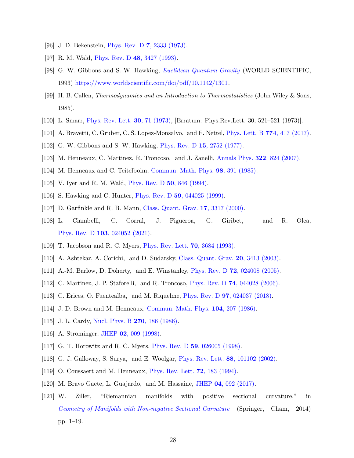- <span id="page-27-1"></span><span id="page-27-0"></span>[96] J. D. Bekenstein, Phys. Rev. D 7[, 2333 \(1973\).](http://dx.doi.org/10.1103/PhysRevD.7.2333)
- <span id="page-27-2"></span>[97] R. M. Wald, [Phys. Rev. D](http://dx.doi.org/10.1103/PhysRevD.48.R3427) 48, 3427 (1993).
- [98] G. W. Gibbons and S. W. Hawking, *[Euclidean Quantum Gravity](http://dx.doi.org/10.1142/1301)* (WORLD SCIENTIFIC, 1993) [https://www.worldscientific.com/doi/pdf/10.1142/1301.](http://arxiv.org/abs/https://www.worldscientific.com/doi/pdf/10.1142/1301)
- <span id="page-27-3"></span>[99] H. B. Callen, Thermodynamics and an Introduction to Thermostatistics (John Wiley & Sons, 1985).
- <span id="page-27-5"></span><span id="page-27-4"></span>[100] L. Smarr, [Phys. Rev. Lett.](http://dx.doi.org/10.1103/PhysRevLett.30.71) 30, 71 (1973), [Erratum: Phys.Rev.Lett. 30, 521–521 (1973)].
- <span id="page-27-6"></span>[101] A. Bravetti, C. Gruber, C. S. Lopez-Monsalvo, and F. Nettel, [Phys. Lett. B](http://dx.doi.org/10.1016/j.physletb.2017.09.089) 774, 417 (2017).
- <span id="page-27-7"></span>[102] G. W. Gibbons and S. W. Hawking, [Phys. Rev. D](http://dx.doi.org/10.1103/PhysRevD.15.2752) 15, 2752 (1977).
- <span id="page-27-8"></span>[103] M. Henneaux, C. Martinez, R. Troncoso, and J. Zanelli, [Annals Phys.](http://dx.doi.org/10.1016/j.aop.2006.05.002) 322, 824 (2007).
- <span id="page-27-9"></span>[104] M. Henneaux and C. Teitelboim, [Commun. Math. Phys.](http://dx.doi.org/10.1007/BF01205790) 98, 391 (1985).
- <span id="page-27-10"></span>[105] V. Iyer and R. M. Wald, [Phys. Rev. D](http://dx.doi.org/10.1103/PhysRevD.50.846) **50**, 846 (1994).
- [106] S. Hawking and C. Hunter, Phys. Rev. D **59**[, 044025 \(1999\).](http://dx.doi.org/10.1103/PhysRevD.59.044025)
- <span id="page-27-11"></span>[107] D. Garfinkle and R. B. Mann, [Class. Quant. Grav.](http://dx.doi.org/10.1088/0264-9381/17/16/314) 17, 3317 (2000).
- [108] L. Ciambelli, C. Corral, J. Figueroa, G. Giribet, and R. Olea, Phys. Rev. D 103[, 024052 \(2021\).](http://dx.doi.org/ 10.1103/PhysRevD.103.024052)
- <span id="page-27-12"></span>[109] T. Jacobson and R. C. Myers, [Phys. Rev. Lett.](http://dx.doi.org/10.1103/PhysRevLett.70.3684) 70, 3684 (1993).
- <span id="page-27-13"></span>[110] A. Ashtekar, A. Corichi, and D. Sudarsky, [Class. Quant. Grav.](http://dx.doi.org/10.1088/0264-9381/20/15/310) **20**, 3413 (2003).
- [111] A.-M. Barlow, D. Doherty, and E. Winstanley, Phys. Rev. D 72[, 024008 \(2005\).](http://dx.doi.org/10.1103/PhysRevD.72.024008)
- <span id="page-27-14"></span>[112] C. Martinez, J. P. Staforelli, and R. Troncoso, Phys. Rev. D 74[, 044028 \(2006\).](http://dx.doi.org/10.1103/PhysRevD.74.044028)
- <span id="page-27-15"></span>[113] C. Erices, O. Fuentealba, and M. Riquelme, Phys. Rev. D 97[, 024037 \(2018\).](http://dx.doi.org/10.1103/PhysRevD.97.024037)
- <span id="page-27-16"></span>[114] J. D. Brown and M. Henneaux, [Commun. Math. Phys.](http://dx.doi.org/10.1007/BF01211590) 104, 207 (1986).
- <span id="page-27-17"></span>[115] J. L. Cardy, [Nucl. Phys. B](http://dx.doi.org/10.1016/0550-3213(86)90552-3) **270**, 186 (1986).
- <span id="page-27-18"></span>[116] A. Strominger, JHEP 02[, 009 \(1998\).](http://dx.doi.org/10.1088/1126-6708/1998/02/009)
- <span id="page-27-19"></span>[117] G. T. Horowitz and R. C. Myers, *Phys. Rev. D* **59**[, 026005 \(1998\).](http://dx.doi.org/10.1103/PhysRevD.59.026005)
- <span id="page-27-20"></span>[118] G. J. Galloway, S. Surya, and E. Woolgar, [Phys. Rev. Lett.](http://dx.doi.org/10.1103/PhysRevLett.88.101102) 88, 101102 (2002).
- <span id="page-27-21"></span>[119] O. Coussaert and M. Henneaux, *[Phys. Rev. Lett.](http://dx.doi.org/10.1103/PhysRevLett.72.183)* **72**, 183 (1994).
- <span id="page-27-22"></span>[120] M. Bravo Gaete, L. Guajardo, and M. Hassaine, JHEP 04[, 092 \(2017\).](http://dx.doi.org/10.1007/JHEP04(2017)092)
- <span id="page-27-23"></span>[121] W. Ziller, "Riemannian manifolds with positive sectional curvature," in [Geometry of Manifolds with Non-negative Sectional Curvature](http://dx.doi.org/10.1007/978-3-319-06373-7_1) (Springer, Cham, 2014) pp. 1–19.